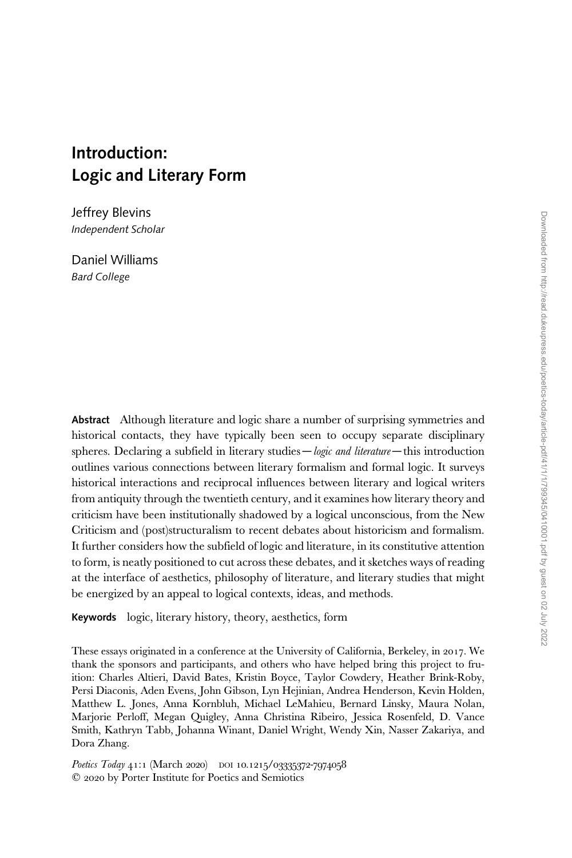# Introduction: Logic and Literary Form

Jeffrey Blevins Independent Scholar

Daniel Williams Bard College

Abstract Although literature and logic share a number of surprising symmetries and historical contacts, they have typically been seen to occupy separate disciplinary spheres. Declaring a subfield in literary studies  $-\log c$  and literature  $-\ln s$  introduction outlines various connections between literary formalism and formal logic. It surveys historical interactions and reciprocal influences between literary and logical writers from antiquity through the twentieth century, and it examines how literary theory and criticism have been institutionally shadowed by a logical unconscious, from the New Criticism and (post)structuralism to recent debates about historicism and formalism. It further considers how the subfield of logic and literature, in its constitutive attention to form, is neatly positioned to cut across these debates, and it sketches ways of reading at the interface of aesthetics, philosophy of literature, and literary studies that might be energized by an appeal to logical contexts, ideas, and methods.

Keywords logic, literary history, theory, aesthetics, form

These essays originated in a conference at the University of California, Berkeley, in 2017. We thank the sponsors and participants, and others who have helped bring this project to fruition: Charles Altieri, David Bates, Kristin Boyce, Taylor Cowdery, Heather Brink-Roby, Persi Diaconis, Aden Evens, John Gibson, Lyn Hejinian, Andrea Henderson, Kevin Holden, Matthew L. Jones, Anna Kornbluh, Michael LeMahieu, Bernard Linsky, Maura Nolan, Marjorie Perloff, Megan Quigley, Anna Christina Ribeiro, Jessica Rosenfeld, D. Vance Smith, Kathryn Tabb, Johanna Winant, Daniel Wright, Wendy Xin, Nasser Zakariya, and Dora Zhang.

Poetics Today 41:1 (March 2020) DOI 10.1215/03335372-7974058  $Q$  2020 by Porter Institute for Poetics and Semiotics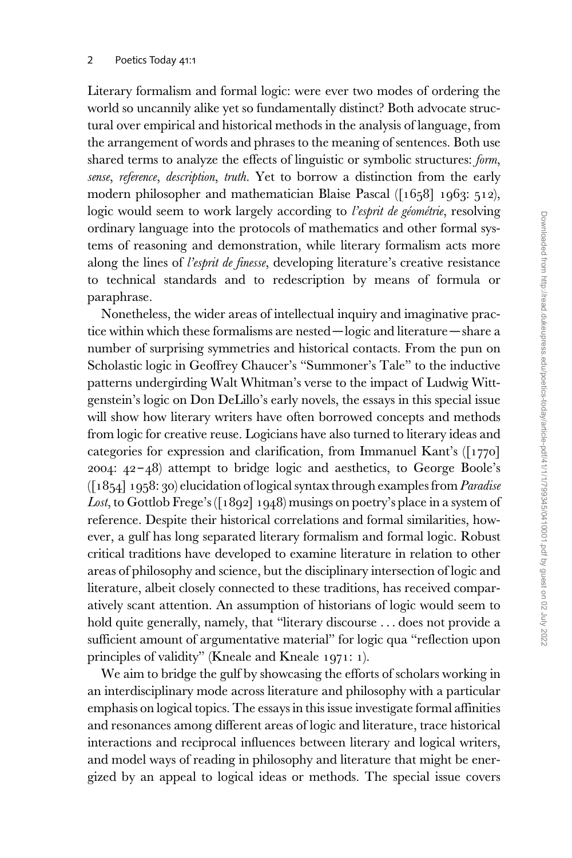Literary formalism and formal logic: were ever two modes of ordering the world so uncannily alike yet so fundamentally distinct? Both advocate structural over empirical and historical methods in the analysis of language, from the arrangement of words and phrases to the meaning of sentences. Both use shared terms to analyze the effects of linguistic or symbolic structures: form, sense, reference, description, truth. Yet to borrow a distinction from the early modern philosopher and mathematician Blaise Pascal ([1658] 1963: 512), logic would seem to work largely according to l'esprit de géométrie, resolving ordinary language into the protocols of mathematics and other formal systems of reasoning and demonstration, while literary formalism acts more along the lines of l'esprit de finesse, developing literature's creative resistance to technical standards and to redescription by means of formula or paraphrase.

Nonetheless, the wider areas of intellectual inquiry and imaginative practice within which these formalisms are nested—logic and literature—share a number of surprising symmetries and historical contacts. From the pun on Scholastic logic in Geoffrey Chaucer's "Summoner's Tale" to the inductive patterns undergirding Walt Whitman's verse to the impact of Ludwig Wittgenstein's logic on Don DeLillo's early novels, the essays in this special issue will show how literary writers have often borrowed concepts and methods from logic for creative reuse. Logicians have also turned to literary ideas and categories for expression and clarification, from Immanuel Kant's ([1770] 2004:  $42 - 48$ ) attempt to bridge logic and aesthetics, to George Boole's  $([1854] 1958: 30)$  elucidation of logical syntax through examples from *Paradise* Lost, to Gottlob Frege's ([1892] 1948) musings on poetry's place in a system of reference. Despite their historical correlations and formal similarities, however, a gulf has long separated literary formalism and formal logic. Robust critical traditions have developed to examine literature in relation to other areas of philosophy and science, but the disciplinary intersection of logic and literature, albeit closely connected to these traditions, has received comparatively scant attention. An assumption of historians of logic would seem to hold quite generally, namely, that "literary discourse ... does not provide a sufficient amount of argumentative material" for logic qua "reflection upon principles of validity" (Kneale and Kneale 1971: 1).

We aim to bridge the gulf by showcasing the efforts of scholars working in an interdisciplinary mode across literature and philosophy with a particular emphasis on logical topics. The essays in this issue investigate formal affinities and resonances among different areas of logic and literature, trace historical interactions and reciprocal influences between literary and logical writers, and model ways of reading in philosophy and literature that might be energized by an appeal to logical ideas or methods. The special issue covers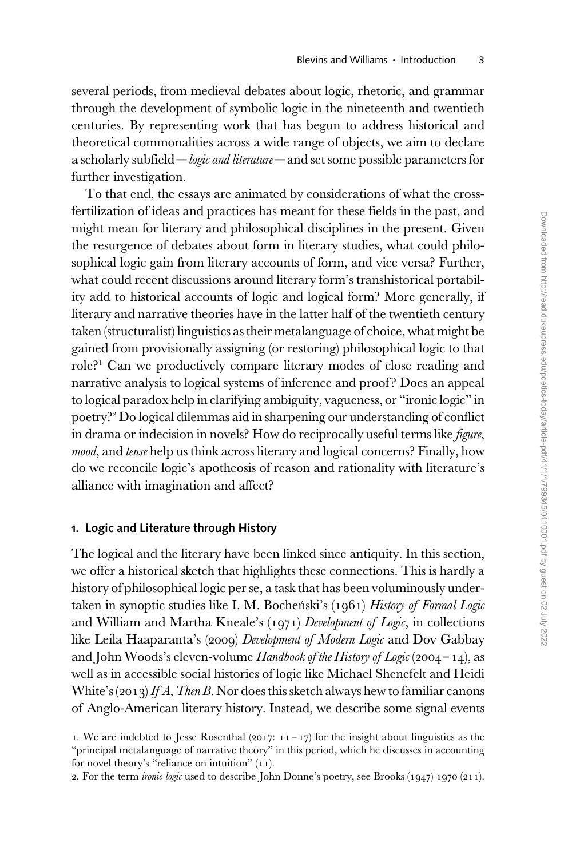several periods, from medieval debates about logic, rhetoric, and grammar through the development of symbolic logic in the nineteenth and twentieth centuries. By representing work that has begun to address historical and theoretical commonalities across a wide range of objects, we aim to declare a scholarly subfield—*logic and literature*—and set some possible parameters for further investigation.

To that end, the essays are animated by considerations of what the crossfertilization of ideas and practices has meant for these fields in the past, and might mean for literary and philosophical disciplines in the present. Given the resurgence of debates about form in literary studies, what could philosophical logic gain from literary accounts of form, and vice versa? Further, what could recent discussions around literary form's transhistorical portability add to historical accounts of logic and logical form? More generally, if literary and narrative theories have in the latter half of the twentieth century taken (structuralist) linguistics as their metalanguage of choice, what might be gained from provisionally assigning (or restoring) philosophical logic to that role?<sup>1</sup> Can we productively compare literary modes of close reading and narrative analysis to logical systems of inference and proof ? Does an appeal to logical paradox help in clarifying ambiguity, vagueness, or "ironic logic" in poetry?<sup>2</sup> Do logical dilemmas aid in sharpening our understanding of conflict in drama or indecision in novels? How do reciprocally useful terms like *figure*, mood, and tense help us think across literary and logical concerns? Finally, how do we reconcile logic's apotheosis of reason and rationality with literature's alliance with imagination and affect?

## 1. Logic and Literature through History

The logical and the literary have been linked since antiquity. In this section, we offer a historical sketch that highlights these connections. This is hardly a history of philosophical logic per se, a task that has been voluminously undertaken in synoptic studies like I. M. Bocheński's (1961) History of Formal Logic and William and Martha Kneale's (1971) Development of Logic, in collections like Leila Haaparanta's (2009) Development of Modern Logic and Dov Gabbay and John Woods's eleven-volume Handbook of the History of Logic (2004 – 14), as well as in accessible social histories of logic like Michael Shenefelt and Heidi White's (2013) If A, Then B. Nor does this sketch always hew to familiar canons of Anglo-American literary history. Instead, we describe some signal events

<sup>1.</sup> We are indebted to Jesse Rosenthal (2017:  $11 - 17$ ) for the insight about linguistics as the "principal metalanguage of narrative theory" in this period, which he discusses in accounting for novel theory's "reliance on intuition" (11).

<sup>2.</sup> For the term *ironic logic* used to describe John Donne's poetry, see Brooks (1947) 1970 (211).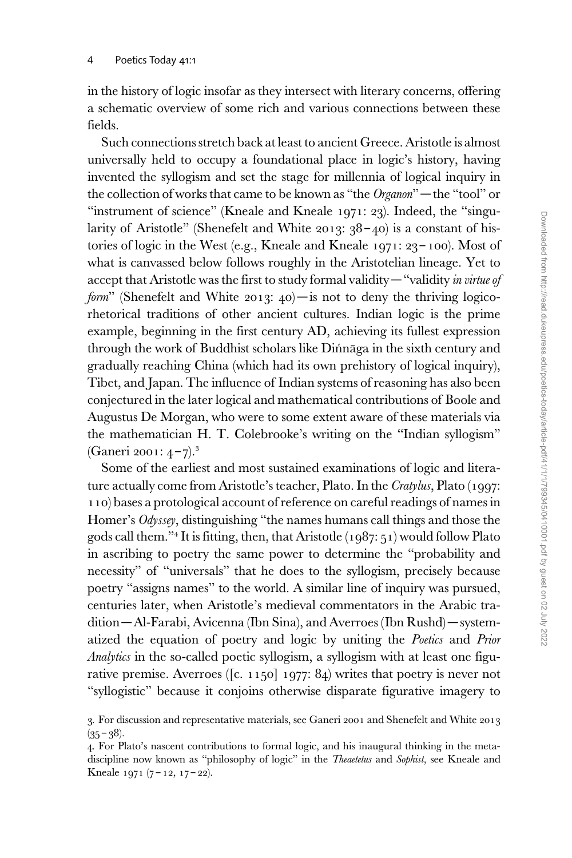in the history of logic insofar as they intersect with literary concerns, offering a schematic overview of some rich and various connections between these fields.

Such connections stretch back at least to ancient Greece. Aristotle is almost universally held to occupy a foundational place in logic's history, having invented the syllogism and set the stage for millennia of logical inquiry in the collection of works that came to be known as "the Organon" —the "tool" or "instrument of science" (Kneale and Kneale 1971: 23). Indeed, the "singularity of Aristotle" (Shenefelt and White 2013:  $38 - 40$ ) is a constant of histories of logic in the West (e.g., Kneale and Kneale 1971: 23 – 100). Most of what is canvassed below follows roughly in the Aristotelian lineage. Yet to accept that Aristotle was the first to study formal validity — "validity in virtue of form" (Shenefelt and White 2013:  $40$ ) — is not to deny the thriving logicorhetorical traditions of other ancient cultures. Indian logic is the prime example, beginning in the first century AD, achieving its fullest expression through the work of Buddhist scholars like Dinnaga in the sixth century and gradually reaching China (which had its own prehistory of logical inquiry), Tibet, and Japan. The influence of Indian systems of reasoning has also been conjectured in the later logical and mathematical contributions of Boole and Augustus De Morgan, who were to some extent aware of these materials via the mathematician H. T. Colebrooke's writing on the "Indian syllogism" (Ganeri 2001:  $4 - 7$ ).<sup>3</sup>

Some of the earliest and most sustained examinations of logic and literature actually come from Aristotle's teacher, Plato. In the Cratylus, Plato (1997: 110) bases a protological account of reference on careful readings of names in Homer's Odyssey, distinguishing "the names humans call things and those the gods call them."<sup>4</sup> It is fitting, then, that Aristotle (1987: 51) would follow Plato in ascribing to poetry the same power to determine the "probability and necessity" of "universals" that he does to the syllogism, precisely because poetry "assigns names" to the world. A similar line of inquiry was pursued, centuries later, when Aristotle's medieval commentators in the Arabic tradition—Al-Farabi, Avicenna (Ibn Sina), and Averroes (Ibn Rushd)—systematized the equation of poetry and logic by uniting the *Poetics* and *Prior* Analytics in the so-called poetic syllogism, a syllogism with at least one figurative premise. Averroes ([c. 1150] 1977: 84) writes that poetry is never not "syllogistic" because it conjoins otherwise disparate figurative imagery to

<sup>3.</sup> For discussion and representative materials, see Ganeri 2001 and Shenefelt and White 2013  $(35 - 38)$ .

<sup>4.</sup> For Plato's nascent contributions to formal logic, and his inaugural thinking in the metadiscipline now known as "philosophy of logic" in the Theaetetus and Sophist, see Kneale and Kneale 1971 (7 – 12, 17 – 22).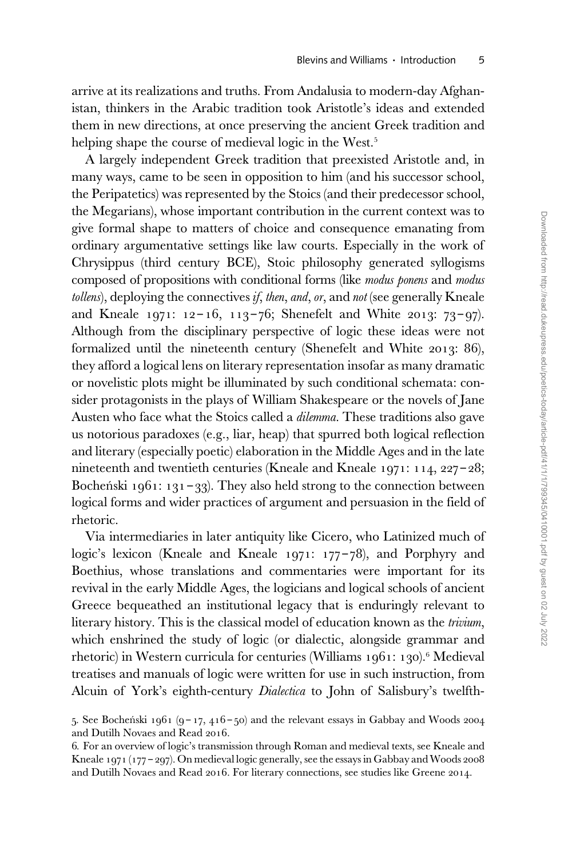arrive at its realizations and truths. From Andalusia to modern-day Afghanistan, thinkers in the Arabic tradition took Aristotle's ideas and extended them in new directions, at once preserving the ancient Greek tradition and helping shape the course of medieval logic in the West.<sup>5</sup>

A largely independent Greek tradition that preexisted Aristotle and, in many ways, came to be seen in opposition to him (and his successor school, the Peripatetics) was represented by the Stoics (and their predecessor school, the Megarians), whose important contribution in the current context was to give formal shape to matters of choice and consequence emanating from ordinary argumentative settings like law courts. Especially in the work of Chrysippus (third century BCE), Stoic philosophy generated syllogisms composed of propositions with conditional forms (like modus ponens and modus  $t$ ollens), deploying the connectives if, then, and, or, and not (see generally Kneale and Kneale 1971: 12-16, 113-76; Shenefelt and White 2013: 73-97). Although from the disciplinary perspective of logic these ideas were not formalized until the nineteenth century (Shenefelt and White 2013: 86), they afford a logical lens on literary representation insofar as many dramatic or novelistic plots might be illuminated by such conditional schemata: consider protagonists in the plays of William Shakespeare or the novels of Jane Austen who face what the Stoics called a *dilemma*. These traditions also gave us notorious paradoxes (e.g., liar, heap) that spurred both logical reflection and literary (especially poetic) elaboration in the Middle Ages and in the late nineteenth and twentieth centuries (Kneale and Kneale 1971: 114, 227 – 28; Bocheński 1961: 131 – 33). They also held strong to the connection between logical forms and wider practices of argument and persuasion in the field of rhetoric.

Via intermediaries in later antiquity like Cicero, who Latinized much of logic's lexicon (Kneale and Kneale 1971: 177-78), and Porphyry and Boethius, whose translations and commentaries were important for its revival in the early Middle Ages, the logicians and logical schools of ancient Greece bequeathed an institutional legacy that is enduringly relevant to literary history. This is the classical model of education known as the trivium, which enshrined the study of logic (or dialectic, alongside grammar and rhetoric) in Western curricula for centuries (Williams 1961: 130).<sup>6</sup> Medieval treatises and manuals of logic were written for use in such instruction, from Alcuin of York's eighth-century *Dialectica* to John of Salisbury's twelfth-

<sup>5.</sup> See Bocheński 1961 (9 – 17, 416 – 50) and the relevant essays in Gabbay and Woods 2004. and Dutilh Novaes and Read 2016.

<sup>6.</sup> For an overview of logic's transmission through Roman and medieval texts, see Kneale and Kneale 1971 (177 – 297). On medieval logic generally, see the essays in Gabbay and Woods 2008 and Dutilh Novaes and Read 2016. For literary connections, see studies like Greene 2014.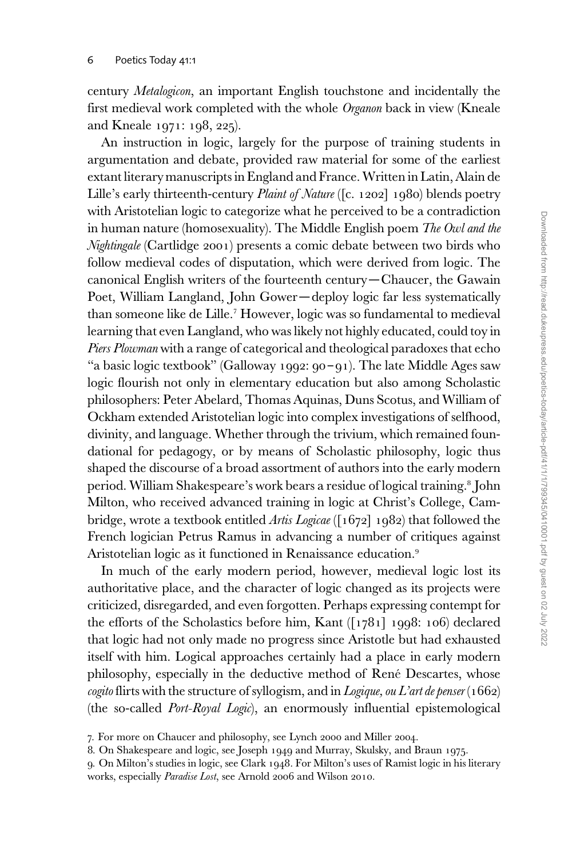century Metalogicon, an important English touchstone and incidentally the first medieval work completed with the whole Organon back in view (Kneale and Kneale 1971: 198, 225).

An instruction in logic, largely for the purpose of training students in argumentation and debate, provided raw material for some of the earliest extant literary manuscripts in England and France. Written in Latin, Alain de Lille's early thirteenth-century *Plaint of Nature* ([c. 1202] 1980) blends poetry with Aristotelian logic to categorize what he perceived to be a contradiction in human nature (homosexuality). The Middle English poem The Owl and the Nightingale (Cartlidge 2001) presents a comic debate between two birds who follow medieval codes of disputation, which were derived from logic. The canonical English writers of the fourteenth century—Chaucer, the Gawain Poet, William Langland, John Gower—deploy logic far less systematically than someone like de Lille.<sup>7</sup> However, logic was so fundamental to medieval learning that even Langland, who was likely not highly educated, could toy in Piers Plowman with a range of categorical and theological paradoxes that echo "a basic logic textbook" (Galloway 1992: 90 – 91). The late Middle Ages saw logic flourish not only in elementary education but also among Scholastic philosophers: Peter Abelard, Thomas Aquinas, Duns Scotus, and William of Ockham extended Aristotelian logic into complex investigations of selfhood, divinity, and language. Whether through the trivium, which remained foundational for pedagogy, or by means of Scholastic philosophy, logic thus shaped the discourse of a broad assortment of authors into the early modern period. William Shakespeare's work bears a residue of logical training.<sup>8</sup> John Milton, who received advanced training in logic at Christ's College, Cambridge, wrote a textbook entitled *Artis Logicae* ([1672] 1982) that followed the French logician Petrus Ramus in advancing a number of critiques against Aristotelian logic as it functioned in Renaissance education.<sup>9</sup>

In much of the early modern period, however, medieval logic lost its authoritative place, and the character of logic changed as its projects were criticized, disregarded, and even forgotten. Perhaps expressing contempt for the efforts of the Scholastics before him, Kant ([1781] 1998: 106) declared that logic had not only made no progress since Aristotle but had exhausted itself with him. Logical approaches certainly had a place in early modern philosophy, especially in the deductive method of René Descartes, whose cogito flirts with the structure of syllogism, and in Logique, ou L'art de penser (1662) (the so-called Port-Royal Logic), an enormously influential epistemological

<sup>7.</sup> For more on Chaucer and philosophy, see Lynch 2000 and Miller 2004.

<sup>8.</sup> On Shakespeare and logic, see Joseph 1949 and Murray, Skulsky, and Braun 1975.

<sup>9.</sup> On Milton's studies in logic, see Clark 1948. For Milton's uses of Ramist logic in his literary works, especially Paradise Lost, see Arnold 2006 and Wilson 2010.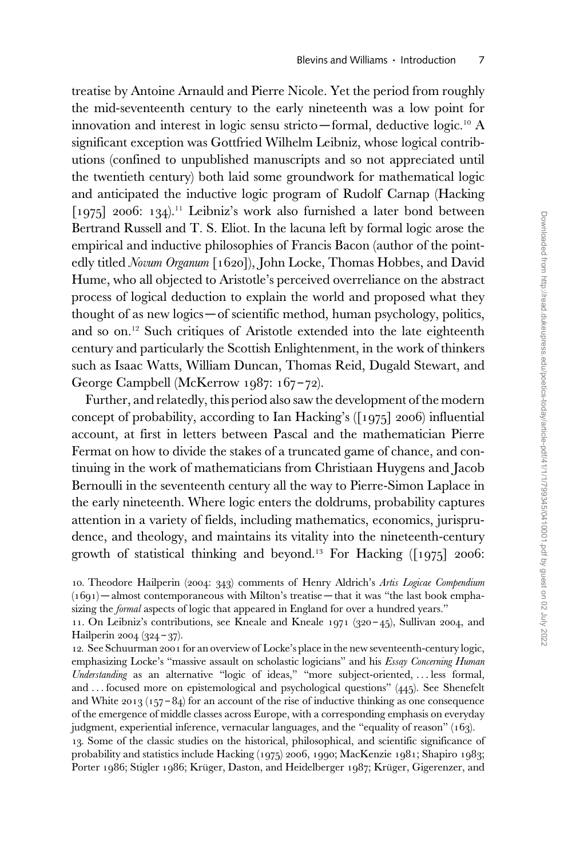treatise by Antoine Arnauld and Pierre Nicole. Yet the period from roughly the mid-seventeenth century to the early nineteenth was a low point for innovation and interest in logic sensu stricto—formal, deductive logic.<sup>10</sup> A significant exception was Gottfried Wilhelm Leibniz, whose logical contributions (confined to unpublished manuscripts and so not appreciated until the twentieth century) both laid some groundwork for mathematical logic and anticipated the inductive logic program of Rudolf Carnap (Hacking  $\lceil 1975 \rceil$  2006: 134).<sup>11</sup> Leibniz's work also furnished a later bond between Bertrand Russell and T. S. Eliot. In the lacuna left by formal logic arose the empirical and inductive philosophies of Francis Bacon (author of the pointedly titled Novum Organum [1620]), John Locke, Thomas Hobbes, and David Hume, who all objected to Aristotle's perceived overreliance on the abstract process of logical deduction to explain the world and proposed what they thought of as new logics—of scientific method, human psychology, politics, and so on.<sup>12</sup> Such critiques of Aristotle extended into the late eighteenth century and particularly the Scottish Enlightenment, in the work of thinkers such as Isaac Watts, William Duncan, Thomas Reid, Dugald Stewart, and George Campbell (McKerrow 1987: 167 – 72).

Further, and relatedly, this period also saw the development of the modern concept of probability, according to Ian Hacking's ([1975] 2006) influential account, at first in letters between Pascal and the mathematician Pierre Fermat on how to divide the stakes of a truncated game of chance, and continuing in the work of mathematicians from Christiaan Huygens and Jacob Bernoulli in the seventeenth century all the way to Pierre-Simon Laplace in the early nineteenth. Where logic enters the doldrums, probability captures attention in a variety of fields, including mathematics, economics, jurisprudence, and theology, and maintains its vitality into the nineteenth-century growth of statistical thinking and beyond.<sup>13</sup> For Hacking  $(1975]$  2006:

13. Some of the classic studies on the historical, philosophical, and scientific significance of probability and statistics include Hacking (1975) 2006, 1990; MacKenzie 1981; Shapiro 1983; Porter 1986; Stigler 1986; Kruger, Daston, and Heidelberger 1987; Kruger, Gigerenzer, and

<sup>10.</sup> Theodore Hailperin (2004: 343) comments of Henry Aldrich's Artis Logicae Compendium  $(1691)$  – almost contemporaneous with Milton's treatise – that it was "the last book emphasizing the *formal* aspects of logic that appeared in England for over a hundred years."

<sup>11.</sup> On Leibniz's contributions, see Kneale and Kneale 1971 (320 – 45), Sullivan 2004, and Hailperin 2004 (324 – 37).

<sup>12.</sup> See Schuurman 2001 for an overview of Locke's place in the new seventeenth-century logic, emphasizing Locke's "massive assault on scholastic logicians" and his Essay Concerning Human Understanding as an alternative "logic of ideas," "more subject-oriented, ... less formal, and ... focused more on epistemological and psychological questions" (445). See Shenefelt and White 2013 (157 – 84) for an account of the rise of inductive thinking as one consequence of the emergence of middle classes across Europe, with a corresponding emphasis on everyday judgment, experiential inference, vernacular languages, and the "equality of reason" (163).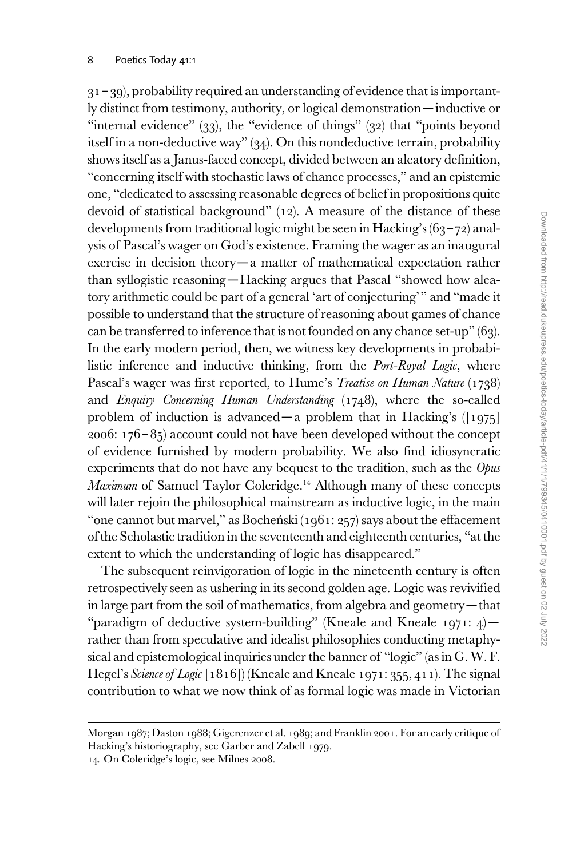$31 - 39$ ), probability required an understanding of evidence that is importantly distinct from testimony, authority, or logical demonstration—inductive or "internal evidence" (33), the "evidence of things" (32) that "points beyond itself in a non-deductive way" (34). On this nondeductive terrain, probability shows itself as a Janus-faced concept, divided between an aleatory definition, "concerning itself with stochastic laws of chance processes," and an epistemic one, "dedicated to assessing reasonable degrees of belief in propositions quite devoid of statistical background" (12). A measure of the distance of these developments from traditional logic might be seen in Hacking's (63 – 72) analysis of Pascal's wager on God's existence. Framing the wager as an inaugural exercise in decision theory—a matter of mathematical expectation rather than syllogistic reasoning—Hacking argues that Pascal "showed how aleatory arithmetic could be part of a general 'art of conjecturing'" and "made it possible to understand that the structure of reasoning about games of chance can be transferred to inference that is not founded on any chance set-up" (63). In the early modern period, then, we witness key developments in probabilistic inference and inductive thinking, from the *Port-Royal Logic*, where Pascal's wager was first reported, to Hume's *Treatise on Human Nature* (1738) and Enquiry Concerning Human Understanding (1748), where the so-called problem of induction is advanced—a problem that in Hacking's ([1975] 2006:  $176 - 85$ ) account could not have been developed without the concept of evidence furnished by modern probability. We also find idiosyncratic experiments that do not have any bequest to the tradition, such as the Opus Maximum of Samuel Taylor Coleridge.<sup>14</sup> Although many of these concepts will later rejoin the philosophical mainstream as inductive logic, in the main "one cannot but marvel," as Bocheński (1961: 257) says about the effacement of the Scholastic tradition in the seventeenth and eighteenth centuries, "at the extent to which the understanding of logic has disappeared."

The subsequent reinvigoration of logic in the nineteenth century is often retrospectively seen as ushering in its second golden age. Logic was revivified in large part from the soil of mathematics, from algebra and geometry—that "paradigm of deductive system-building" (Kneale and Kneale 1971: 4)rather than from speculative and idealist philosophies conducting metaphysical and epistemological inquiries under the banner of "logic" (as in G. W. F. Hegel's Science of Logic  $[1816]$ ) (Kneale and Kneale 1971: 355, 411). The signal contribution to what we now think of as formal logic was made in Victorian

Morgan 1987; Daston 1988; Gigerenzer et al. 1989; and Franklin 2001. For an early critique of Hacking's historiography, see Garber and Zabell 1979.

<sup>14.</sup> On Coleridge's logic, see Milnes 2008.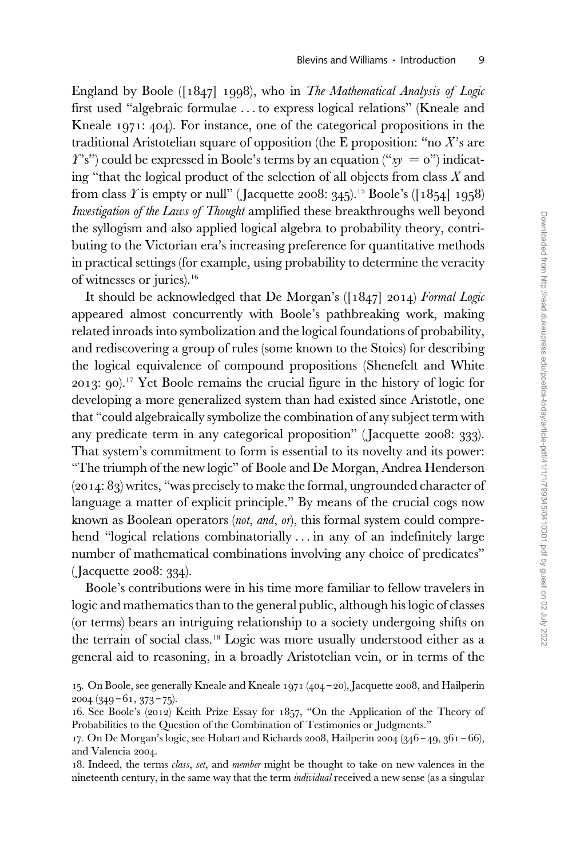England by Boole ([1847] 1998), who in The Mathematical Analysis of Logic first used "algebraic formulae ... to express logical relations" (Kneale and Kneale 1971: 404). For instance, one of the categorical propositions in the traditional Aristotelian square of opposition (the E proposition: "no  $X$ 's are  $T$ 's") could be expressed in Boole's terms by an equation (" $xy = 0$ ") indicating "that the logical product of the selection of all objects from class  $X$  and from class *Y* is empty or null" (Jacquette 2008: 345).<sup>15</sup> Boole's ([1854] 1958) Investigation of the Laws of Thought amplified these breakthroughs well beyond the syllogism and also applied logical algebra to probability theory, contributing to the Victorian era's increasing preference for quantitative methods in practical settings (for example, using probability to determine the veracity of witnesses or juries).<sup>16</sup>

It should be acknowledged that De Morgan's ([1847] 2014) Formal Logic appeared almost concurrently with Boole's pathbreaking work, making related inroads into symbolization and the logical foundations of probability, and rediscovering a group of rules (some known to the Stoics) for describing the logical equivalence of compound propositions (Shenefelt and White 2013: 90).<sup>17</sup> Yet Boole remains the crucial figure in the history of logic for developing a more generalized system than had existed since Aristotle, one that "could algebraically symbolize the combination of any subject term with any predicate term in any categorical proposition" (Jacquette 2008: 333). That system's commitment to form is essential to its novelty and its power: "The triumph of the new logic" of Boole and De Morgan, Andrea Henderson (2014: 83) writes, "was precisely to make the formal, ungrounded character of language a matter of explicit principle." By means of the crucial cogs now known as Boolean operators (not, and, or), this formal system could comprehend "logical relations combinatorially ... in any of an indefinitely large number of mathematical combinations involving any choice of predicates" ( Jacquette 2008: 334).

Boole's contributions were in his time more familiar to fellow travelers in logic and mathematics than to the general public, although his logic of classes (or terms) bears an intriguing relationship to a society undergoing shifts on the terrain of social class.<sup>18</sup> Logic was more usually understood either as a general aid to reasoning, in a broadly Aristotelian vein, or in terms of the

<sup>15.</sup> On Boole, see generally Kneale and Kneale 1971 (404 – 20), Jacquette 2008, and Hailperin  $2004$  (349 – 61, 373 – 75).

<sup>16.</sup> See Boole's (2012) Keith Prize Essay for 1857, "On the Application of the Theory of Probabilities to the Question of the Combination of Testimonies or Judgments."

<sup>17.</sup> On De Morgan's logic, see Hobart and Richards 2008, Hailperin 2004 (346 – 49, 361 – 66), and Valencia 2004.

<sup>18.</sup> Indeed, the terms class, set, and member might be thought to take on new valences in the nineteenth century, in the same way that the term *individual* received a new sense (as a singular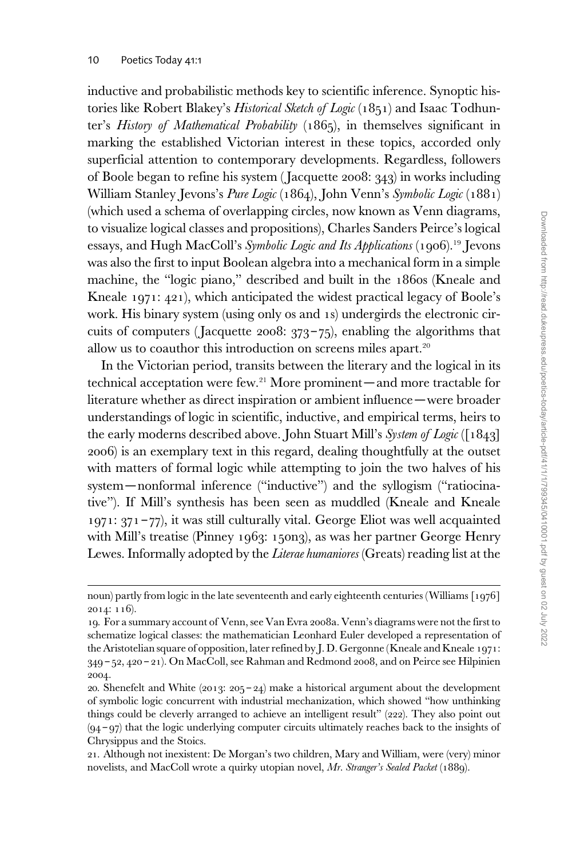inductive and probabilistic methods key to scientific inference. Synoptic histories like Robert Blakey's Historical Sketch of Logic (1851) and Isaac Todhunter's History of Mathematical Probability (1865), in themselves significant in marking the established Victorian interest in these topics, accorded only superficial attention to contemporary developments. Regardless, followers of Boole began to refine his system ( Jacquette 2008: 343) in works including William Stanley Jevons's Pure Logic (1864), John Venn's Symbolic Logic (1881) (which used a schema of overlapping circles, now known as Venn diagrams, to visualize logical classes and propositions), Charles Sanders Peirce's logical essays, and Hugh MacColl's Symbolic Logic and Its Applications (1906).<sup>19</sup> Jevons was also the first to input Boolean algebra into a mechanical form in a simple machine, the "logic piano," described and built in the 1860s (Kneale and Kneale 1971: 421), which anticipated the widest practical legacy of Boole's work. His binary system (using only 0s and 1s) undergirds the electronic circuits of computers (Jacquette 2008:  $373-75$ ), enabling the algorithms that allow us to coauthor this introduction on screens miles apart.<sup>20</sup>

In the Victorian period, transits between the literary and the logical in its technical acceptation were few.<sup>21</sup> More prominent—and more tractable for literature whether as direct inspiration or ambient influence—were broader understandings of logic in scientific, inductive, and empirical terms, heirs to the early moderns described above. John Stuart Mill's System of Logic ([1843] 2006) is an exemplary text in this regard, dealing thoughtfully at the outset with matters of formal logic while attempting to join the two halves of his system—nonformal inference ("inductive") and the syllogism ("ratiocinative"). If Mill's synthesis has been seen as muddled (Kneale and Kneale  $1971: 371 - 77$ , it was still culturally vital. George Eliot was well acquainted with Mill's treatise (Pinney 1963: 150n3), as was her partner George Henry Lewes. Informally adopted by the *Literae humaniores* (Greats) reading list at the

noun) partly from logic in the late seventeenth and early eighteenth centuries (Williams [1976] 2014: 116).

<sup>19.</sup> For a summary account of Venn, see Van Evra 2008a. Venn's diagrams were not the first to schematize logical classes: the mathematician Leonhard Euler developed a representation of the Aristotelian square of opposition, later refined by J. D. Gergonne (Kneale and Kneale 1971: 349 – 52, 420 – 21). On MacColl, see Rahman and Redmond 2008, and on Peirce see Hilpinien 2004.

<sup>20.</sup> Shenefelt and White  $(2013: 205 - 24)$  make a historical argument about the development of symbolic logic concurrent with industrial mechanization, which showed "how unthinking things could be cleverly arranged to achieve an intelligent result" (222). They also point out (94 – 97) that the logic underlying computer circuits ultimately reaches back to the insights of Chrysippus and the Stoics.

<sup>21.</sup> Although not inexistent: De Morgan's two children, Mary and William, were (very) minor novelists, and MacColl wrote a quirky utopian novel, Mr. Stranger's Sealed Packet (1889).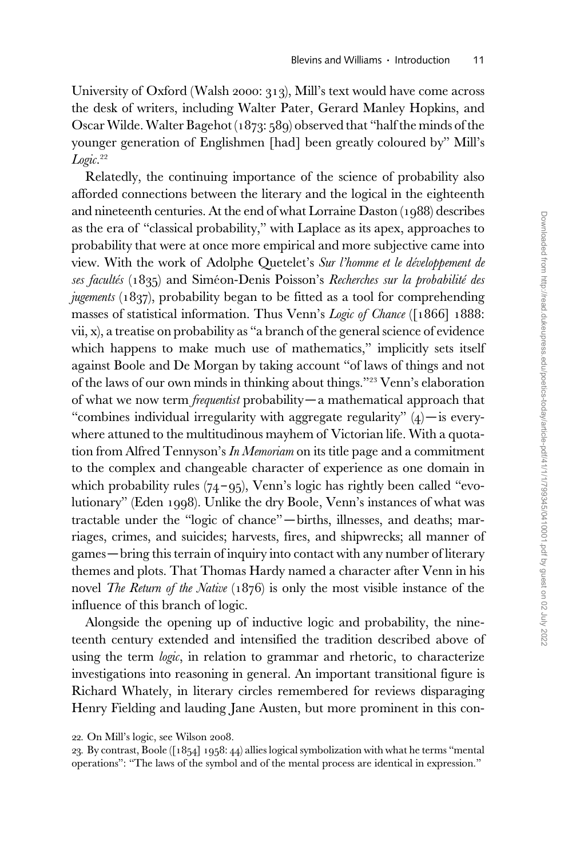University of Oxford (Walsh 2000: 313), Mill's text would have come across the desk of writers, including Walter Pater, Gerard Manley Hopkins, and Oscar Wilde. Walter Bagehot (1873: 589) observed that "half the minds of the younger generation of Englishmen [had] been greatly coloured by" Mill's Logic. 22

Relatedly, the continuing importance of the science of probability also afforded connections between the literary and the logical in the eighteenth and nineteenth centuries. At the end of what Lorraine Daston (1988) describes as the era of "classical probability," with Laplace as its apex, approaches to probability that were at once more empirical and more subjective came into view. With the work of Adolphe Quetelet's Sur l'homme et le développement de ses facultés (1835) and Siméon-Denis Poisson's Recherches sur la probabilité des jugements (1837), probability began to be fitted as a tool for comprehending masses of statistical information. Thus Venn's Logic of Chance ([1866] 1888: vii, x), a treatise on probability as "a branch of the general science of evidence which happens to make much use of mathematics," implicitly sets itself against Boole and De Morgan by taking account "of laws of things and not of the laws of our own minds in thinking about things."<sup>23</sup> Venn's elaboration of what we now term frequentist probability—a mathematical approach that "combines individual irregularity with aggregate regularity"  $(4)$  - is everywhere attuned to the multitudinous mayhem of Victorian life. With a quotation from Alfred Tennyson's In Memoriam on its title page and a commitment to the complex and changeable character of experience as one domain in which probability rules  $(74 - 95)$ , Venn's logic has rightly been called "evolutionary" (Eden 1998). Unlike the dry Boole, Venn's instances of what was tractable under the "logic of chance" —births, illnesses, and deaths; marriages, crimes, and suicides; harvests, fires, and shipwrecks; all manner of games—bring this terrain of inquiry into contact with any number of literary themes and plots. That Thomas Hardy named a character after Venn in his novel *The Return of the Native* (1876) is only the most visible instance of the influence of this branch of logic.

Alongside the opening up of inductive logic and probability, the nineteenth century extended and intensified the tradition described above of using the term logic, in relation to grammar and rhetoric, to characterize investigations into reasoning in general. An important transitional figure is Richard Whately, in literary circles remembered for reviews disparaging Henry Fielding and lauding Jane Austen, but more prominent in this con-

<sup>22.</sup> On Mill's logic, see Wilson 2008.

<sup>23.</sup> By contrast, Boole ([1854] 1958: 44) allies logical symbolization with what he terms "mental operations": "The laws of the symbol and of the mental process are identical in expression."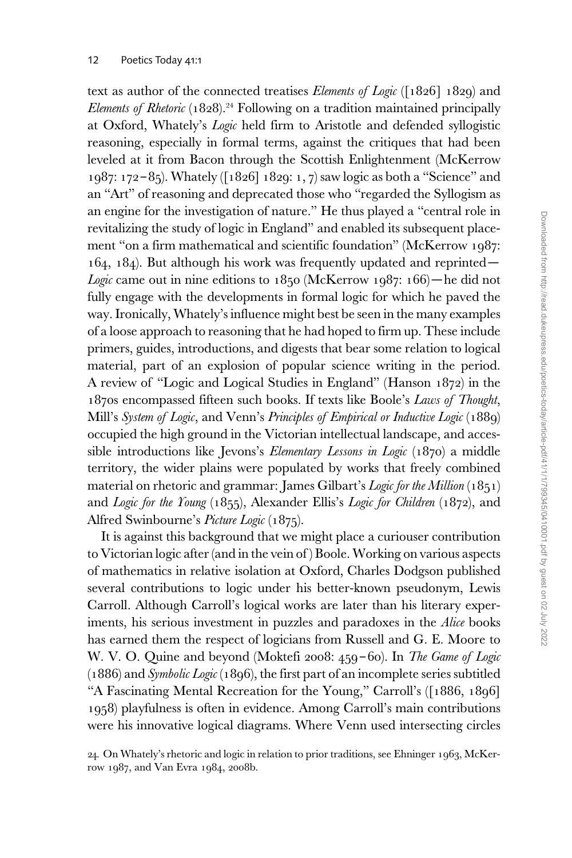text as author of the connected treatises *Elements of Logic* ( $\lceil 1826 \rceil$  1829) and Elements of Rhetoric  $(1828)^{24}$  Following on a tradition maintained principally at Oxford, Whately's Logic held firm to Aristotle and defended syllogistic reasoning, especially in formal terms, against the critiques that had been leveled at it from Bacon through the Scottish Enlightenment (McKerrow 1987: 172 – 85). Whately ([1826] 1829: 1, 7) saw logic as both a "Science" and an "Art" of reasoning and deprecated those who "regarded the Syllogism as an engine for the investigation of nature." He thus played a "central role in revitalizing the study of logic in England" and enabled its subsequent placement "on a firm mathematical and scientific foundation" (McKerrow 1987: 164, 184). But although his work was frequently updated and reprinted— Logic came out in nine editions to  $1850$  (McKerrow  $1987: 166$ ) – he did not fully engage with the developments in formal logic for which he paved the way. Ironically, Whately's influence might best be seen in the many examples of a loose approach to reasoning that he had hoped to firm up. These include primers, guides, introductions, and digests that bear some relation to logical material, part of an explosion of popular science writing in the period. A review of "Logic and Logical Studies in England" (Hanson 1872) in the 1870s encompassed fifteen such books. If texts like Boole's Laws of Thought, Mill's System of Logic, and Venn's Principles of Empirical or Inductive Logic (1889) occupied the high ground in the Victorian intellectual landscape, and accessible introductions like Jevons's Elementary Lessons in Logic (1870) a middle territory, the wider plains were populated by works that freely combined material on rhetoric and grammar: James Gilbart's Logic for the Million (1851) and Logic for the Young (1855), Alexander Ellis's Logic for Children (1872), and Alfred Swinbourne's Picture Logic (1875).

It is against this background that we might place a curiouser contribution to Victorian logic after (and in the vein of ) Boole. Working on various aspects of mathematics in relative isolation at Oxford, Charles Dodgson published several contributions to logic under his better-known pseudonym, Lewis Carroll. Although Carroll's logical works are later than his literary experiments, his serious investment in puzzles and paradoxes in the Alice books has earned them the respect of logicians from Russell and G. E. Moore to W. V. O. Quine and beyond (Moktefi 2008: 459-60). In The Game of Logic (1886) and Symbolic Logic (1896), the first part of an incomplete series subtitled "A Fascinating Mental Recreation for the Young," Carroll's ([1886, 1896] 1958) playfulness is often in evidence. Among Carroll's main contributions were his innovative logical diagrams. Where Venn used intersecting circles

24. On Whately's rhetoric and logic in relation to prior traditions, see Ehninger 1963, McKerrow 1987, and Van Evra 1984, 2008b.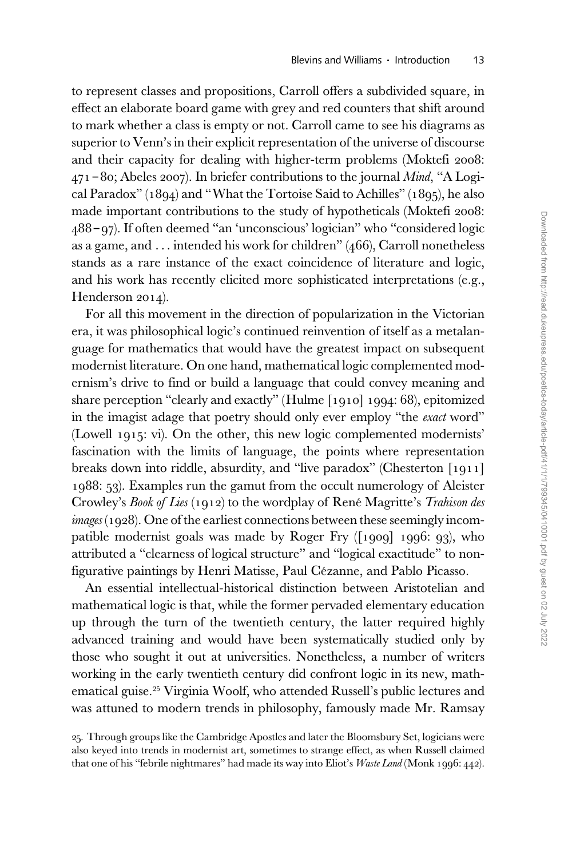to represent classes and propositions, Carroll offers a subdivided square, in effect an elaborate board game with grey and red counters that shift around to mark whether a class is empty or not. Carroll came to see his diagrams as superior to Venn's in their explicit representation of the universe of discourse and their capacity for dealing with higher-term problems (Moktefi 2008:  $471 - 80$ ; Abeles 2007). In briefer contributions to the journal *Mind*, "A Logical Paradox" (1894) and "What the Tortoise Said to Achilles" (1895), he also made important contributions to the study of hypotheticals (Moktefi 2008: 488 – 97). If often deemed "an 'unconscious' logician" who "considered logic as a game, and ... intended his work for children" (466), Carroll nonetheless stands as a rare instance of the exact coincidence of literature and logic, and his work has recently elicited more sophisticated interpretations (e.g., Henderson 2014).

For all this movement in the direction of popularization in the Victorian era, it was philosophical logic's continued reinvention of itself as a metalanguage for mathematics that would have the greatest impact on subsequent modernist literature. On one hand, mathematical logic complemented modernism's drive to find or build a language that could convey meaning and share perception "clearly and exactly" (Hulme [1910] 1994: 68), epitomized in the imagist adage that poetry should only ever employ "the *exact* word" (Lowell 1915: vi). On the other, this new logic complemented modernists' fascination with the limits of language, the points where representation breaks down into riddle, absurdity, and "live paradox" (Chesterton [1911] 1988: 53). Examples run the gamut from the occult numerology of Aleister Crowley's Book of Lies (1912) to the wordplay of René Magritte's Trahison des  $\text{i}$ mages (1928). One of the earliest connections between these seemingly incompatible modernist goals was made by Roger Fry ([1909] 1996: 93), who attributed a "clearness of logical structure" and "logical exactitude" to nonfigurative paintings by Henri Matisse, Paul Cézanne, and Pablo Picasso.

An essential intellectual-historical distinction between Aristotelian and mathematical logic is that, while the former pervaded elementary education up through the turn of the twentieth century, the latter required highly advanced training and would have been systematically studied only by those who sought it out at universities. Nonetheless, a number of writers working in the early twentieth century did confront logic in its new, mathematical guise.<sup>25</sup> Virginia Woolf, who attended Russell's public lectures and was attuned to modern trends in philosophy, famously made Mr. Ramsay

<sup>25.</sup> Through groups like the Cambridge Apostles and later the Bloomsbury Set, logicians were also keyed into trends in modernist art, sometimes to strange effect, as when Russell claimed that one of his "febrile nightmares" had made its way into Eliot's Waste Land (Monk 1996: 442).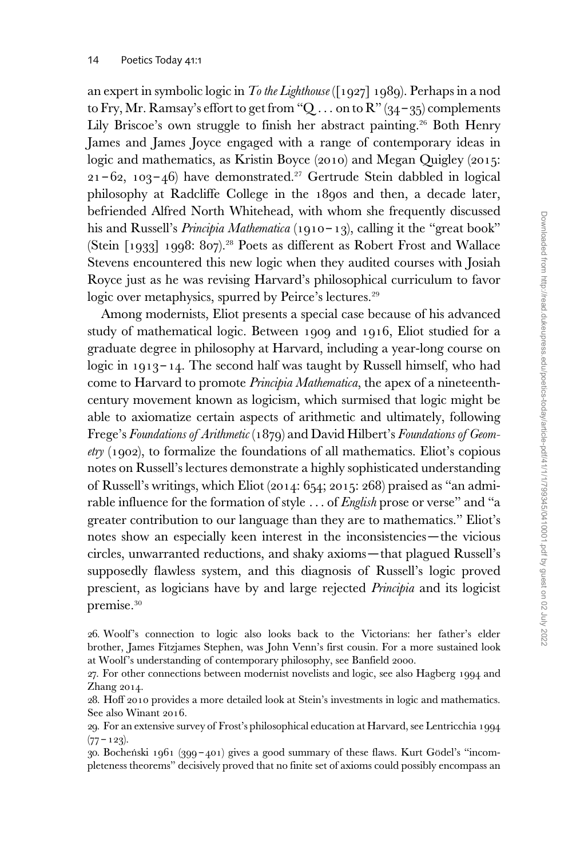an expert in symbolic logic in To the Lighthouse ([1927] 1989). Perhaps in a nod to Fry, Mr. Ramsay's effort to get from "Q  $\ldots$  on to R" (34 – 35) complements Lily Briscoe's own struggle to finish her abstract painting.<sup>26</sup> Both Henry James and James Joyce engaged with a range of contemporary ideas in logic and mathematics, as Kristin Boyce (2010) and Megan Quigley (2015:  $21 - 62$ ,  $103 - 46$ ) have demonstrated.<sup>27</sup> Gertrude Stein dabbled in logical philosophy at Radcliffe College in the 1890s and then, a decade later, befriended Alfred North Whitehead, with whom she frequently discussed his and Russell's *Principia Mathematica* (1910-13), calling it the "great book" (Stein [1933] 1998: 807).<sup>28</sup> Poets as different as Robert Frost and Wallace Stevens encountered this new logic when they audited courses with Josiah Royce just as he was revising Harvard's philosophical curriculum to favor logic over metaphysics, spurred by Peirce's lectures.<sup>29</sup>

Among modernists, Eliot presents a special case because of his advanced study of mathematical logic. Between 1909 and 1916, Eliot studied for a graduate degree in philosophy at Harvard, including a year-long course on logic in 1913–14. The second half was taught by Russell himself, who had come to Harvard to promote Principia Mathematica, the apex of a nineteenthcentury movement known as logicism, which surmised that logic might be able to axiomatize certain aspects of arithmetic and ultimately, following Frege's Foundations of Arithmetic (1879) and David Hilbert's Foundations of Geom- $\ell$ try (1902), to formalize the foundations of all mathematics. Eliot's copious notes on Russell's lectures demonstrate a highly sophisticated understanding of Russell's writings, which Eliot (2014: 654; 2015: 268) praised as "an admirable influence for the formation of style ... of *English* prose or verse" and "a greater contribution to our language than they are to mathematics." Eliot's notes show an especially keen interest in the inconsistencies—the vicious circles, unwarranted reductions, and shaky axioms—that plagued Russell's supposedly flawless system, and this diagnosis of Russell's logic proved prescient, as logicians have by and large rejected Principia and its logicist premise.<sup>30</sup>

<sup>26.</sup> Woolf's connection to logic also looks back to the Victorians: her father's elder brother, James Fitzjames Stephen, was John Venn's first cousin. For a more sustained look at Woolf's understanding of contemporary philosophy, see Banfield 2000.

<sup>27.</sup> For other connections between modernist novelists and logic, see also Hagberg 1994 and Zhang 2014.

<sup>28.</sup> Hoff 2010 provides a more detailed look at Stein's investments in logic and mathematics. See also Winant 2016.

<sup>29.</sup> For an extensive survey of Frost's philosophical education at Harvard, see Lentricchia 1994  $(77 - 123)$ .

<sup>30.</sup> Bocheński 1961 (399 – 401) gives a good summary of these flaws. Kurt Gödel's "incompleteness theorems" decisively proved that no finite set of axioms could possibly encompass an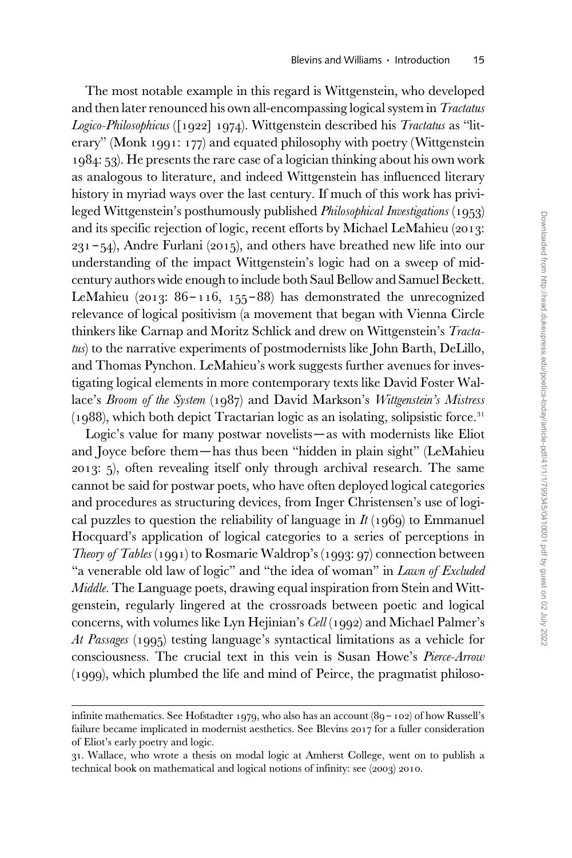The most notable example in this regard is Wittgenstein, who developed and then later renounced his own all-encompassing logical system in Tractatus Logico-Philosophicus ([1922] 1974). Wittgenstein described his Tractatus as "literary" (Monk 1991: 177) and equated philosophy with poetry (Wittgenstein 1984: 53). He presents the rare case of a logician thinking about his own work as analogous to literature, and indeed Wittgenstein has influenced literary history in myriad ways over the last century. If much of this work has privileged Wittgenstein's posthumously published Philosophical Investigations (1953) and its specific rejection of logic, recent efforts by Michael LeMahieu (2013:  $231 - 54$ ), Andre Furlani (2015), and others have breathed new life into our understanding of the impact Wittgenstein's logic had on a sweep of midcentury authors wide enough to include both Saul Bellow and Samuel Beckett. LeMahieu (2013:  $86 - 116$ , 155-88) has demonstrated the unrecognized relevance of logical positivism (a movement that began with Vienna Circle thinkers like Carnap and Moritz Schlick and drew on Wittgenstein's Tractatus) to the narrative experiments of postmodernists like John Barth, DeLillo, and Thomas Pynchon. LeMahieu's work suggests further avenues for investigating logical elements in more contemporary texts like David Foster Wallace's Broom of the System (1987) and David Markson's Wittgenstein's Mistress  $(1988)$ , which both depict Tractarian logic as an isolating, solipsistic force.<sup>31</sup>

Logic's value for many postwar novelists—as with modernists like Eliot and Joyce before them—has thus been "hidden in plain sight" (LeMahieu 2013: 5), often revealing itself only through archival research. The same cannot be said for postwar poets, who have often deployed logical categories and procedures as structuring devices, from Inger Christensen's use of logical puzzles to question the reliability of language in  $It (1969)$  to Emmanuel Hocquard's application of logical categories to a series of perceptions in Theory of Tables (1991) to Rosmarie Waldrop's (1993: 97) connection between "a venerable old law of logic" and "the idea of woman" in Lawn of Excluded Middle. The Language poets, drawing equal inspiration from Stein and Wittgenstein, regularly lingered at the crossroads between poetic and logical concerns, with volumes like Lyn Hejinian's Cell (1992) and Michael Palmer's At Passages (1995) testing language's syntactical limitations as a vehicle for consciousness. The crucial text in this vein is Susan Howe's Pierce-Arrow (1999), which plumbed the life and mind of Peirce, the pragmatist philoso-

infinite mathematics. See Hofstadter 1979, who also has an account (89 – 102) of how Russell's failure became implicated in modernist aesthetics. See Blevins 2017 for a fuller consideration of Eliot's early poetry and logic.

<sup>31.</sup> Wallace, who wrote a thesis on modal logic at Amherst College, went on to publish a technical book on mathematical and logical notions of infinity: see (2003) 2010.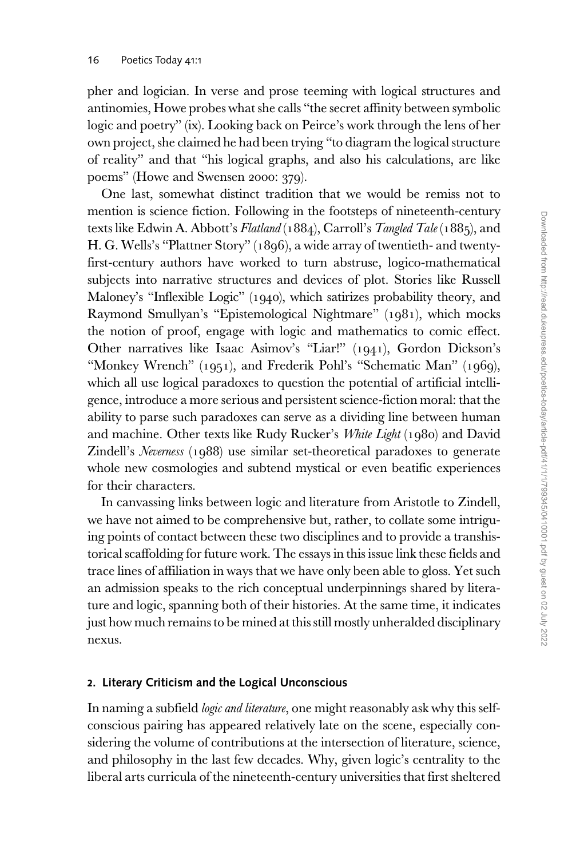pher and logician. In verse and prose teeming with logical structures and antinomies, Howe probes what she calls "the secret affinity between symbolic logic and poetry" (ix). Looking back on Peirce's work through the lens of her own project, she claimed he had been trying "to diagram the logical structure of reality" and that "his logical graphs, and also his calculations, are like poems" (Howe and Swensen 2000: 379).

One last, somewhat distinct tradition that we would be remiss not to mention is science fiction. Following in the footsteps of nineteenth-century texts like Edwin A. Abbott's Flatland (1884), Carroll's Tangled Tale (1885), and H. G. Wells's "Plattner Story" (1896), a wide array of twentieth- and twentyfirst-century authors have worked to turn abstruse, logico-mathematical subjects into narrative structures and devices of plot. Stories like Russell Maloney's "Inflexible Logic" (1940), which satirizes probability theory, and Raymond Smullyan's "Epistemological Nightmare" (1981), which mocks the notion of proof, engage with logic and mathematics to comic effect. Other narratives like Isaac Asimov's "Liar!" (1941), Gordon Dickson's "Monkey Wrench" (1951), and Frederik Pohl's "Schematic Man" (1969), which all use logical paradoxes to question the potential of artificial intelligence, introduce a more serious and persistent science-fiction moral: that the ability to parse such paradoxes can serve as a dividing line between human and machine. Other texts like Rudy Rucker's White Light (1980) and David Zindell's Neverness (1988) use similar set-theoretical paradoxes to generate whole new cosmologies and subtend mystical or even beatific experiences for their characters.

In canvassing links between logic and literature from Aristotle to Zindell, we have not aimed to be comprehensive but, rather, to collate some intriguing points of contact between these two disciplines and to provide a transhistorical scaffolding for future work. The essays in this issue link these fields and trace lines of affiliation in ways that we have only been able to gloss. Yet such an admission speaks to the rich conceptual underpinnings shared by literature and logic, spanning both of their histories. At the same time, it indicates just how much remains to be mined at this still mostly unheralded disciplinary nexus.

#### 2. Literary Criticism and the Logical Unconscious

In naming a subfield *logic and literature*, one might reasonably ask why this selfconscious pairing has appeared relatively late on the scene, especially considering the volume of contributions at the intersection of literature, science, and philosophy in the last few decades. Why, given logic's centrality to the liberal arts curricula of the nineteenth-century universities that first sheltered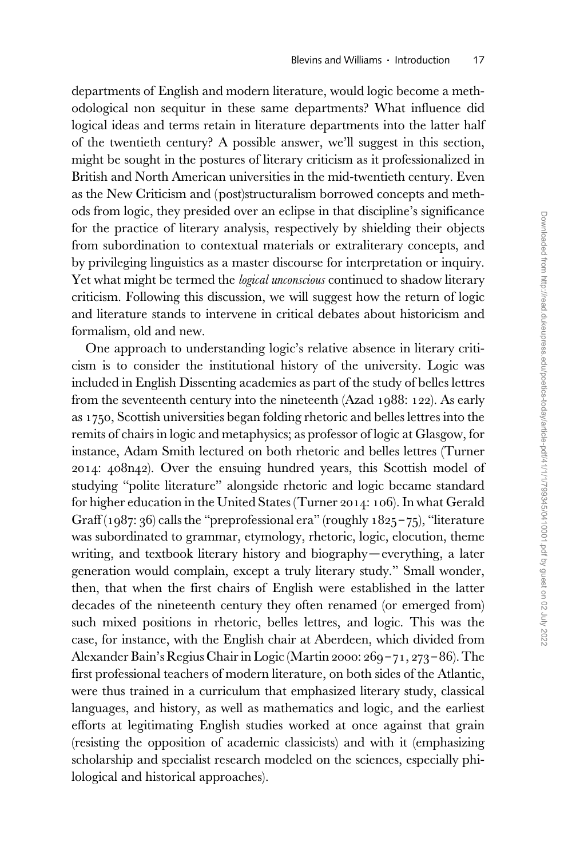departments of English and modern literature, would logic become a methodological non sequitur in these same departments? What influence did logical ideas and terms retain in literature departments into the latter half of the twentieth century? A possible answer, we'll suggest in this section, might be sought in the postures of literary criticism as it professionalized in British and North American universities in the mid-twentieth century. Even as the New Criticism and (post)structuralism borrowed concepts and methods from logic, they presided over an eclipse in that discipline's significance for the practice of literary analysis, respectively by shielding their objects from subordination to contextual materials or extraliterary concepts, and by privileging linguistics as a master discourse for interpretation or inquiry. Yet what might be termed the *logical unconscious* continued to shadow literary criticism. Following this discussion, we will suggest how the return of logic and literature stands to intervene in critical debates about historicism and formalism, old and new.

One approach to understanding logic's relative absence in literary criticism is to consider the institutional history of the university. Logic was included in English Dissenting academies as part of the study of belles lettres from the seventeenth century into the nineteenth (Azad 1988: 122). As early as 1750, Scottish universities began folding rhetoric and belles lettres into the remits of chairs in logic and metaphysics; as professor of logic at Glasgow, for instance, Adam Smith lectured on both rhetoric and belles lettres (Turner 2014: 408n42). Over the ensuing hundred years, this Scottish model of studying "polite literature" alongside rhetoric and logic became standard for higher education in the United States (Turner 2014: 106). In what Gerald Graff (1987: 36) calls the "preprofessional era" (roughly 1825-75), "literature was subordinated to grammar, etymology, rhetoric, logic, elocution, theme writing, and textbook literary history and biography—everything, a later generation would complain, except a truly literary study." Small wonder, then, that when the first chairs of English were established in the latter decades of the nineteenth century they often renamed (or emerged from) such mixed positions in rhetoric, belles lettres, and logic. This was the case, for instance, with the English chair at Aberdeen, which divided from Alexander Bain's Regius Chair in Logic (Martin 2000: 269 – 71, 273 – 86). The first professional teachers of modern literature, on both sides of the Atlantic, were thus trained in a curriculum that emphasized literary study, classical languages, and history, as well as mathematics and logic, and the earliest efforts at legitimating English studies worked at once against that grain (resisting the opposition of academic classicists) and with it (emphasizing scholarship and specialist research modeled on the sciences, especially philological and historical approaches).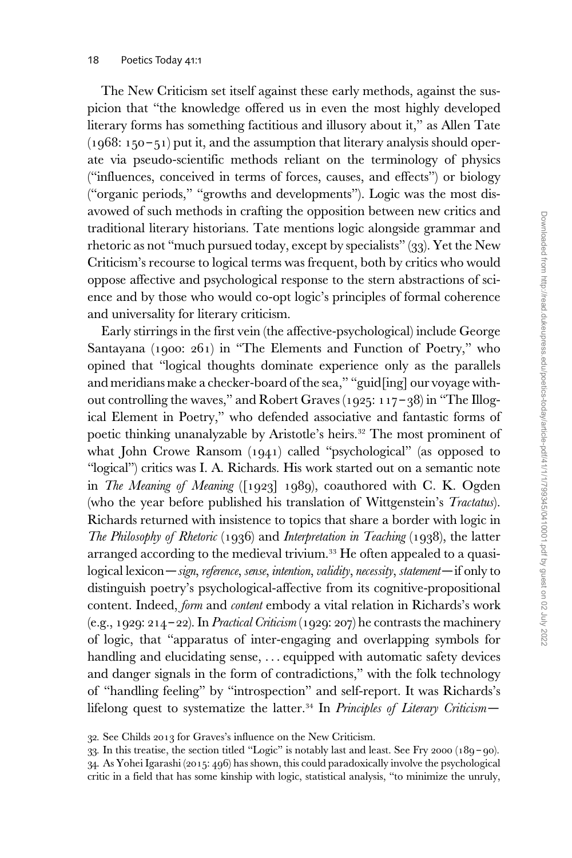The New Criticism set itself against these early methods, against the suspicion that "the knowledge offered us in even the most highly developed literary forms has something factitious and illusory about it," as Allen Tate  $(1968: 150 - 51)$  put it, and the assumption that literary analysis should operate via pseudo-scientific methods reliant on the terminology of physics ("influences, conceived in terms of forces, causes, and effects") or biology ("organic periods," "growths and developments"). Logic was the most disavowed of such methods in crafting the opposition between new critics and traditional literary historians. Tate mentions logic alongside grammar and rhetoric as not "much pursued today, except by specialists" (33). Yet the New Criticism's recourse to logical terms was frequent, both by critics who would oppose affective and psychological response to the stern abstractions of science and by those who would co-opt logic's principles of formal coherence and universality for literary criticism.

Early stirrings in the first vein (the affective-psychological) include George Santayana (1900: 261) in "The Elements and Function of Poetry," who opined that "logical thoughts dominate experience only as the parallels and meridians make a checker-board of the sea," "guid[ing] our voyage without controlling the waves," and Robert Graves (1925: 117 – 38) in "The Illogical Element in Poetry," who defended associative and fantastic forms of poetic thinking unanalyzable by Aristotle's heirs.<sup>32</sup> The most prominent of what John Crowe Ransom (1941) called "psychological" (as opposed to "logical") critics was I. A. Richards. His work started out on a semantic note in The Meaning of Meaning ([1923] 1989), coauthored with C. K. Ogden (who the year before published his translation of Wittgenstein's *Tractatus*). Richards returned with insistence to topics that share a border with logic in The Philosophy of Rhetoric (1936) and Interpretation in Teaching (1938), the latter arranged according to the medieval trivium.<sup>33</sup> He often appealed to a quasilogical lexicon—sign, reference, sense, intention, validity, necessity, statement—if only to distinguish poetry's psychological-affective from its cognitive-propositional content. Indeed, form and content embody a vital relation in Richards's work (e.g., 1929: 214–22). In *Practical Criticism* (1929: 207) he contrasts the machinery of logic, that "apparatus of inter-engaging and overlapping symbols for handling and elucidating sense, ... equipped with automatic safety devices and danger signals in the form of contradictions," with the folk technology of "handling feeling" by "introspection" and self-report. It was Richards's lifelong quest to systematize the latter.<sup>34</sup> In Principles of Literary Criticism-

<sup>32.</sup> See Childs 2013 for Graves's influence on the New Criticism.

<sup>33.</sup> In this treatise, the section titled "Logic" is notably last and least. See Fry 2000 (189 – 90). 34. As Yohei Igarashi (2015: 496) has shown, this could paradoxically involve the psychological critic in a field that has some kinship with logic, statistical analysis, "to minimize the unruly,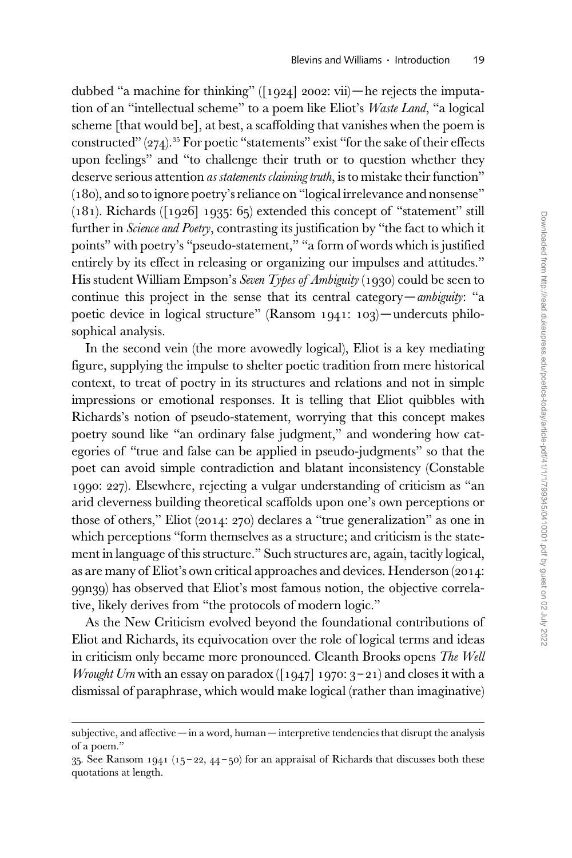dubbed "a machine for thinking"  $(1924]$  2002: vii)—he rejects the imputation of an "intellectual scheme" to a poem like Eliot's Waste Land, "a logical scheme [that would be], at best, a scaffolding that vanishes when the poem is constructed" (274).<sup>35</sup> For poetic "statements" exist "for the sake of their effects upon feelings" and "to challenge their truth or to question whether they deserve serious attention *as statements claiming truth*, is to mistake their function" (180), and so to ignore poetry's reliance on "logical irrelevance and nonsense"  $(181)$ . Richards ([1926] 1935: 65) extended this concept of "statement" still further in Science and Poetry, contrasting its justification by "the fact to which it points" with poetry's "pseudo-statement," "a form of words which is justified entirely by its effect in releasing or organizing our impulses and attitudes." His student William Empson's Seven Types of Ambiguity (1930) could be seen to continue this project in the sense that its central category—ambiguity: "a poetic device in logical structure" (Ransom 1941: 103)—undercuts philosophical analysis.

In the second vein (the more avowedly logical), Eliot is a key mediating figure, supplying the impulse to shelter poetic tradition from mere historical context, to treat of poetry in its structures and relations and not in simple impressions or emotional responses. It is telling that Eliot quibbles with Richards's notion of pseudo-statement, worrying that this concept makes poetry sound like "an ordinary false judgment," and wondering how categories of "true and false can be applied in pseudo-judgments" so that the poet can avoid simple contradiction and blatant inconsistency (Constable 1990: 227). Elsewhere, rejecting a vulgar understanding of criticism as "an arid cleverness building theoretical scaffolds upon one's own perceptions or those of others," Eliot (2014: 270) declares a "true generalization" as one in which perceptions "form themselves as a structure; and criticism is the statement in language of this structure." Such structures are, again, tacitly logical, as are many of Eliot's own critical approaches and devices. Henderson (2014: 99n39) has observed that Eliot's most famous notion, the objective correlative, likely derives from "the protocols of modern logic."

As the New Criticism evolved beyond the foundational contributions of Eliot and Richards, its equivocation over the role of logical terms and ideas in criticism only became more pronounced. Cleanth Brooks opens The Well *Wrought Urn* with an essay on paradox ([1947] 1970:  $3 - 21$ ) and closes it with a dismissal of paraphrase, which would make logical (rather than imaginative)

subjective, and affective — in a word, human — interpretive tendencies that disrupt the analysis of a poem."

 $35.$  See Ransom 1941 (15-22, 44-50) for an appraisal of Richards that discusses both these quotations at length.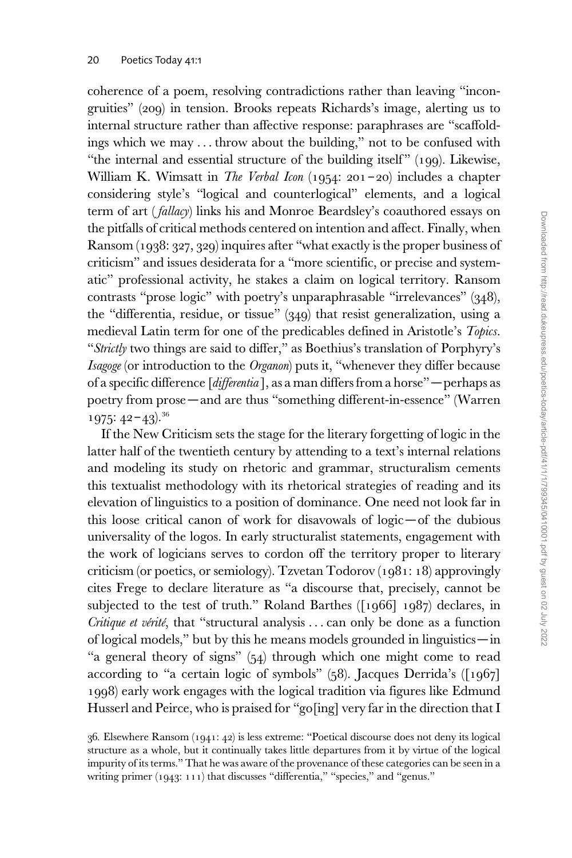coherence of a poem, resolving contradictions rather than leaving "incongruities" (209) in tension. Brooks repeats Richards's image, alerting us to internal structure rather than affective response: paraphrases are "scaffoldings which we may ... throw about the building," not to be confused with "the internal and essential structure of the building itself"  $(199)$ . Likewise, William K. Wimsatt in *The Verbal Icon* (1954: 201-20) includes a chapter considering style's "logical and counterlogical" elements, and a logical term of art ( fallacy) links his and Monroe Beardsley's coauthored essays on the pitfalls of critical methods centered on intention and affect. Finally, when Ransom (1938: 327, 329) inquires after "what exactly is the proper business of criticism" and issues desiderata for a "more scientific, or precise and systematic" professional activity, he stakes a claim on logical territory. Ransom contrasts "prose logic" with poetry's unparaphrasable "irrelevances" (348), the "differentia, residue, or tissue" (349) that resist generalization, using a medieval Latin term for one of the predicables defined in Aristotle's Topics. "Strictly two things are said to differ," as Boethius's translation of Porphyry's Isagoge (or introduction to the Organon) puts it, "whenever they differ because of a specific difference [differentia ], as a man differs from a horse" —perhaps as poetry from prose—and are thus "something different-in-essence" (Warren  $1975: 42 - 43$ ).<sup>36</sup>

If the New Criticism sets the stage for the literary forgetting of logic in the latter half of the twentieth century by attending to a text's internal relations and modeling its study on rhetoric and grammar, structuralism cements this textualist methodology with its rhetorical strategies of reading and its elevation of linguistics to a position of dominance. One need not look far in this loose critical canon of work for disavowals of logic—of the dubious universality of the logos. In early structuralist statements, engagement with the work of logicians serves to cordon off the territory proper to literary criticism (or poetics, or semiology). Tzvetan Todorov (1981: 18) approvingly cites Frege to declare literature as "a discourse that, precisely, cannot be subjected to the test of truth." Roland Barthes ([1966] 1987) declares, in Critique et vérité, that "structural analysis  $\ldots$  can only be done as a function of logical models," but by this he means models grounded in linguistics—in "a general theory of signs" (54) through which one might come to read according to "a certain logic of symbols" (58). Jacques Derrida's ([1967] 1998) early work engages with the logical tradition via figures like Edmund Husserl and Peirce, who is praised for "go[ing] very far in the direction that I

<sup>36.</sup> Elsewhere Ransom (1941: 42) is less extreme: "Poetical discourse does not deny its logical structure as a whole, but it continually takes little departures from it by virtue of the logical impurity of its terms." That he was aware of the provenance of these categories can be seen in a writing primer (1943: 111) that discusses "differentia," "species," and "genus."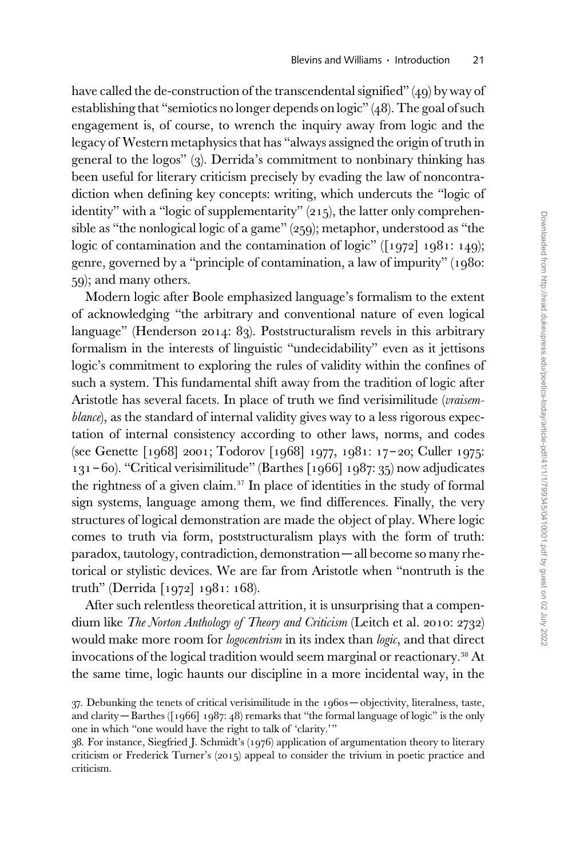have called the de-construction of the transcendental signified" (49) by way of establishing that "semiotics no longer depends on logic" (48). The goal of such engagement is, of course, to wrench the inquiry away from logic and the legacy of Western metaphysics that has "always assigned the origin of truth in general to the logos" (3). Derrida's commitment to nonbinary thinking has been useful for literary criticism precisely by evading the law of noncontradiction when defining key concepts: writing, which undercuts the "logic of identity" with a "logic of supplementarity" (215), the latter only comprehensible as "the nonlogical logic of a game" (259); metaphor, understood as "the logic of contamination and the contamination of logic" ([1972] 1981: 149); genre, governed by a "principle of contamination, a law of impurity" (1980: 59); and many others.

Modern logic after Boole emphasized language's formalism to the extent of acknowledging "the arbitrary and conventional nature of even logical language" (Henderson 2014: 83). Poststructuralism revels in this arbitrary formalism in the interests of linguistic "undecidability" even as it jettisons logic's commitment to exploring the rules of validity within the confines of such a system. This fundamental shift away from the tradition of logic after Aristotle has several facets. In place of truth we find verisimilitude (vraisemblance), as the standard of internal validity gives way to a less rigorous expectation of internal consistency according to other laws, norms, and codes (see Genette [1968] 2001; Todorov [1968] 1977, 1981: 17 – 20; Culler 1975: 131 – 60). "Critical verisimilitude" (Barthes [1966] 1987: 35) now adjudicates the rightness of a given claim. $37$  In place of identities in the study of formal sign systems, language among them, we find differences. Finally, the very structures of logical demonstration are made the object of play. Where logic comes to truth via form, poststructuralism plays with the form of truth: paradox, tautology, contradiction, demonstration—all become so many rhetorical or stylistic devices. We are far from Aristotle when "nontruth is the truth" (Derrida [1972] 1981: 168).

After such relentless theoretical attrition, it is unsurprising that a compendium like *The Norton Anthology of Theory and Criticism* (Leitch et al. 2010: 2732) would make more room for *logocentrism* in its index than *logic*, and that direct invocations of the logical tradition would seem marginal or reactionary.<sup>38</sup> At the same time, logic haunts our discipline in a more incidental way, in the

<sup>37.</sup> Debunking the tenets of critical verisimilitude in the 1960s — objectivity, literalness, taste, and clarity — Barthes ([1966] 1987: 48) remarks that "the formal language of logic" is the only one in which "one would have the right to talk of 'clarity.'"

<sup>38.</sup> For instance, Siegfried J. Schmidt's (1976) application of argumentation theory to literary criticism or Frederick Turner's (2015) appeal to consider the trivium in poetic practice and criticism.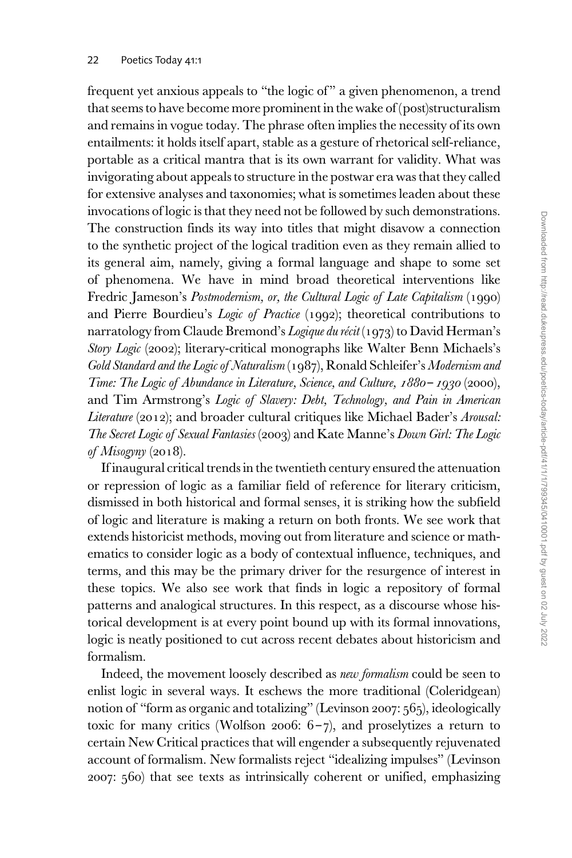frequent yet anxious appeals to "the logic of " a given phenomenon, a trend that seems to have become more prominent in the wake of (post)structuralism and remains in vogue today. The phrase often implies the necessity of its own entailments: it holds itself apart, stable as a gesture of rhetorical self-reliance, portable as a critical mantra that is its own warrant for validity. What was invigorating about appeals to structure in the postwar era was that they called for extensive analyses and taxonomies; what is sometimes leaden about these invocations of logic is that they need not be followed by such demonstrations. The construction finds its way into titles that might disavow a connection to the synthetic project of the logical tradition even as they remain allied to its general aim, namely, giving a formal language and shape to some set of phenomena. We have in mind broad theoretical interventions like Fredric Jameson's Postmodernism, or, the Cultural Logic of Late Capitalism (1990) and Pierre Bourdieu's Logic of Practice (1992); theoretical contributions to narratology from Claude Bremond's *Logique du récit* (1973) to David Herman's Story Logic (2002); literary-critical monographs like Walter Benn Michaels's Gold Standard and the Logic of Naturalism (1987), Ronald Schleifer's Modernism and Time: The Logic of Abundance in Literature, Science, and Culture, 1880 – 1930 (2000), and Tim Armstrong's Logic of Slavery: Debt, Technology, and Pain in American Literature (2012); and broader cultural critiques like Michael Bader's Arousal: The Secret Logic of Sexual Fantasies (2003) and Kate Manne's Down Girl: The Logic of Misogyny (2018).

If inaugural critical trends in the twentieth century ensured the attenuation or repression of logic as a familiar field of reference for literary criticism, dismissed in both historical and formal senses, it is striking how the subfield of logic and literature is making a return on both fronts. We see work that extends historicist methods, moving out from literature and science or mathematics to consider logic as a body of contextual influence, techniques, and terms, and this may be the primary driver for the resurgence of interest in these topics. We also see work that finds in logic a repository of formal patterns and analogical structures. In this respect, as a discourse whose historical development is at every point bound up with its formal innovations, logic is neatly positioned to cut across recent debates about historicism and formalism.

Indeed, the movement loosely described as new formalism could be seen to enlist logic in several ways. It eschews the more traditional (Coleridgean) notion of "form as organic and totalizing" (Levinson 2007: 565), ideologically toxic for many critics (Wolfson 2006:  $6-\gamma$ ), and proselytizes a return to certain New Critical practices that will engender a subsequently rejuvenated account of formalism. New formalists reject "idealizing impulses" (Levinson 2007: 560) that see texts as intrinsically coherent or unified, emphasizing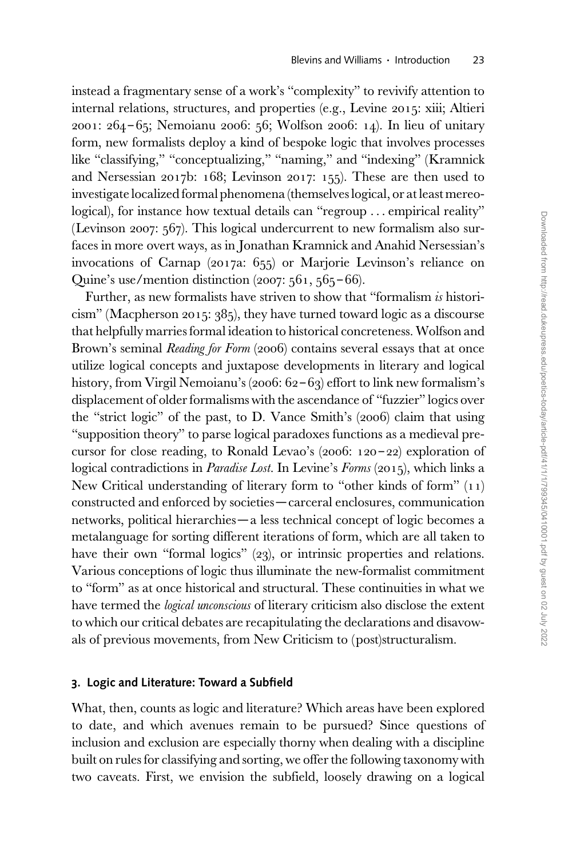instead a fragmentary sense of a work's "complexity" to revivify attention to internal relations, structures, and properties (e.g., Levine 2015: xiii; Altieri 2001: 264 – 65; Nemoianu 2006: 56; Wolfson 2006: 14). In lieu of unitary form, new formalists deploy a kind of bespoke logic that involves processes like "classifying," "conceptualizing," "naming," and "indexing" (Kramnick and Nersessian 2017b: 168; Levinson 2017: 155). These are then used to investigate localized formal phenomena (themselves logical, or at least mereological), for instance how textual details can "regroup ... empirical reality" (Levinson 2007: 567). This logical undercurrent to new formalism also surfaces in more overt ways, as in Jonathan Kramnick and Anahid Nersessian's invocations of Carnap (2017a: 655) or Marjorie Levinson's reliance on Quine's use/mention distinction  $(2007: 561, 565 - 66)$ .

Further, as new formalists have striven to show that "formalism is historicism" (Macpherson 2015: 385), they have turned toward logic as a discourse that helpfully marries formal ideation to historical concreteness. Wolfson and Brown's seminal *Reading for Form* (2006) contains several essays that at once utilize logical concepts and juxtapose developments in literary and logical history, from Virgil Nemoianu's (2006: 62-63) effort to link new formalism's displacement of older formalisms with the ascendance of "fuzzier" logics over the "strict logic" of the past, to D. Vance Smith's (2006) claim that using "supposition theory" to parse logical paradoxes functions as a medieval precursor for close reading, to Ronald Levao's  $(2006: 120 - 22)$  exploration of logical contradictions in *Paradise Lost*. In Levine's *Forms* (2015), which links a New Critical understanding of literary form to "other kinds of form" (11) constructed and enforced by societies—carceral enclosures, communication networks, political hierarchies—a less technical concept of logic becomes a metalanguage for sorting different iterations of form, which are all taken to have their own "formal logics" (23), or intrinsic properties and relations. Various conceptions of logic thus illuminate the new-formalist commitment to "form" as at once historical and structural. These continuities in what we have termed the *logical unconscious* of literary criticism also disclose the extent to which our critical debates are recapitulating the declarations and disavowals of previous movements, from New Criticism to (post)structuralism.

#### 3. Logic and Literature: Toward a Subfield

What, then, counts as logic and literature? Which areas have been explored to date, and which avenues remain to be pursued? Since questions of inclusion and exclusion are especially thorny when dealing with a discipline built on rules for classifying and sorting, we offer the following taxonomy with two caveats. First, we envision the subfield, loosely drawing on a logical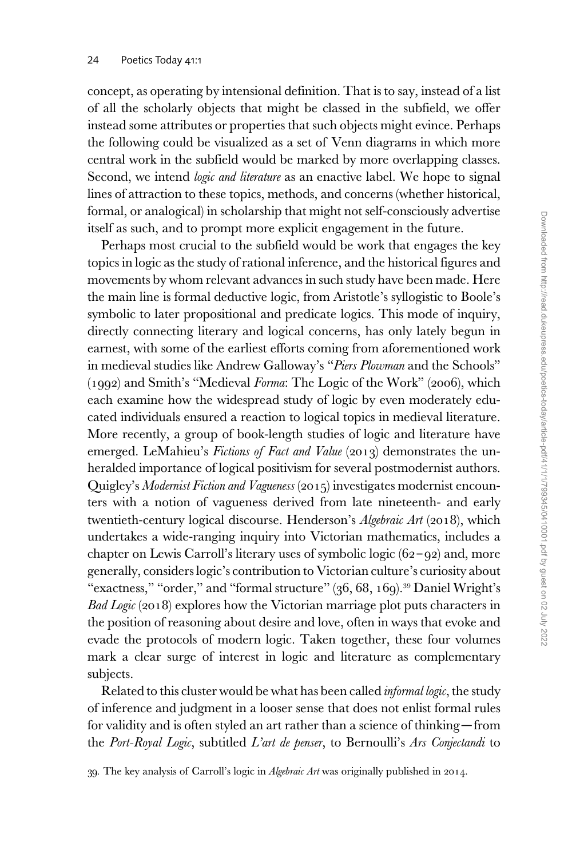concept, as operating by intensional definition. That is to say, instead of a list of all the scholarly objects that might be classed in the subfield, we offer instead some attributes or properties that such objects might evince. Perhaps the following could be visualized as a set of Venn diagrams in which more central work in the subfield would be marked by more overlapping classes. Second, we intend *logic and literature* as an enactive label. We hope to signal lines of attraction to these topics, methods, and concerns (whether historical, formal, or analogical) in scholarship that might not self-consciously advertise itself as such, and to prompt more explicit engagement in the future.

Perhaps most crucial to the subfield would be work that engages the key topics in logic as the study of rational inference, and the historical figures and movements by whom relevant advances in such study have been made. Here the main line is formal deductive logic, from Aristotle's syllogistic to Boole's symbolic to later propositional and predicate logics. This mode of inquiry, directly connecting literary and logical concerns, has only lately begun in earnest, with some of the earliest efforts coming from aforementioned work in medieval studies like Andrew Galloway's "Piers Plowman and the Schools" (1992) and Smith's "Medieval Forma: The Logic of the Work" (2006), which each examine how the widespread study of logic by even moderately educated individuals ensured a reaction to logical topics in medieval literature. More recently, a group of book-length studies of logic and literature have emerged. LeMahieu's Fictions of Fact and Value (2013) demonstrates the unheralded importance of logical positivism for several postmodernist authors. Quigley's Modernist Fiction and Vagueness (2015) investigates modernist encounters with a notion of vagueness derived from late nineteenth- and early twentieth-century logical discourse. Henderson's *Algebraic Art* (2018), which undertakes a wide-ranging inquiry into Victorian mathematics, includes a chapter on Lewis Carroll's literary uses of symbolic logic  $(62 - 92)$  and, more generally, considers logic's contribution to Victorian culture's curiosity about "exactness," "order," and "formal structure" (36, 68, 169).<sup>39</sup> Daniel Wright's Bad Logic (2018) explores how the Victorian marriage plot puts characters in the position of reasoning about desire and love, often in ways that evoke and evade the protocols of modern logic. Taken together, these four volumes mark a clear surge of interest in logic and literature as complementary subjects.

Related to this cluster would be what has been called *informal logic*, the study of inference and judgment in a looser sense that does not enlist formal rules for validity and is often styled an art rather than a science of thinking—from the Port-Royal Logic, subtitled L'art de penser, to Bernoulli's Ars Conjectandi to

39. The key analysis of Carroll's logic in Algebraic Art was originally published in 2014.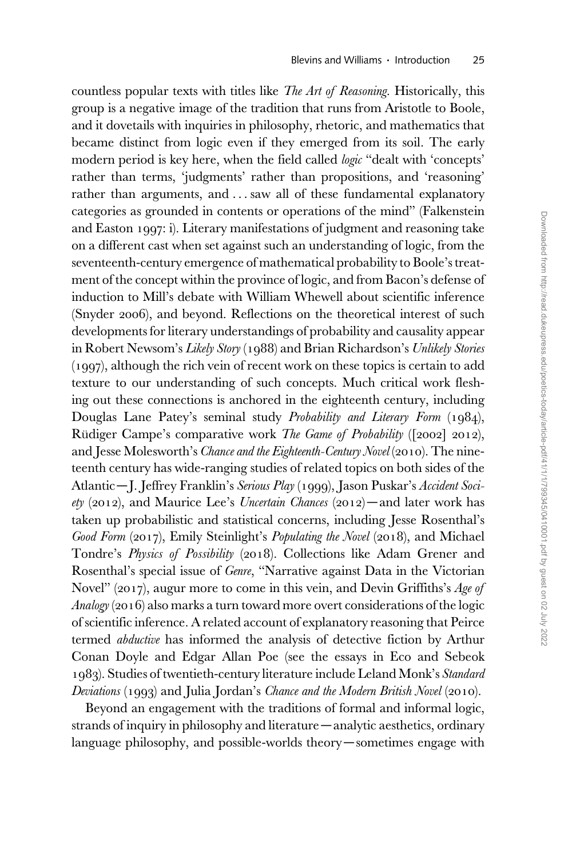countless popular texts with titles like The Art of Reasoning. Historically, this group is a negative image of the tradition that runs from Aristotle to Boole, and it dovetails with inquiries in philosophy, rhetoric, and mathematics that became distinct from logic even if they emerged from its soil. The early modern period is key here, when the field called *logic* "dealt with 'concepts' rather than terms, 'judgments' rather than propositions, and 'reasoning' rather than arguments, and ... saw all of these fundamental explanatory categories as grounded in contents or operations of the mind" (Falkenstein and Easton 1997: i). Literary manifestations of judgment and reasoning take on a different cast when set against such an understanding of logic, from the seventeenth-century emergence of mathematical probability to Boole's treatment of the concept within the province of logic, and from Bacon's defense of induction to Mill's debate with William Whewell about scientific inference (Snyder 2006), and beyond. Reflections on the theoretical interest of such developments for literary understandings of probability and causality appear in Robert Newsom's Likely Story (1988) and Brian Richardson's Unlikely Stories (1997), although the rich vein of recent work on these topics is certain to add texture to our understanding of such concepts. Much critical work fleshing out these connections is anchored in the eighteenth century, including Douglas Lane Patey's seminal study Probability and Literary Form (1984), Rüdiger Campe's comparative work The Game of Probability ([2002] 2012), and Jesse Molesworth's Chance and the Eighteenth-Century Novel (2010). The nineteenth century has wide-ranging studies of related topics on both sides of the Atlantic—J. Jeffrey Franklin's Serious Play (1999), Jason Puskar's Accident Society (2012), and Maurice Lee's Uncertain Chances (2012)—and later work has taken up probabilistic and statistical concerns, including Jesse Rosenthal's Good Form (2017), Emily Steinlight's Populating the Novel (2018), and Michael Tondre's Physics of Possibility (2018). Collections like Adam Grener and Rosenthal's special issue of Genre, "Narrative against Data in the Victorian Novel" (2017), augur more to come in this vein, and Devin Griffiths's Age of Analogy(2016) also marks a turn toward more overt considerations of the logic of scientific inference. A related account of explanatory reasoning that Peirce termed *abductive* has informed the analysis of detective fiction by Arthur Conan Doyle and Edgar Allan Poe (see the essays in Eco and Sebeok 1983). Studies of twentieth-century literature include Leland Monk's Standard Deviations  $(1993)$  and Julia Jordan's Chance and the Modern British Novel (2010).

Beyond an engagement with the traditions of formal and informal logic, strands of inquiry in philosophy and literature—analytic aesthetics, ordinary language philosophy, and possible-worlds theory—sometimes engage with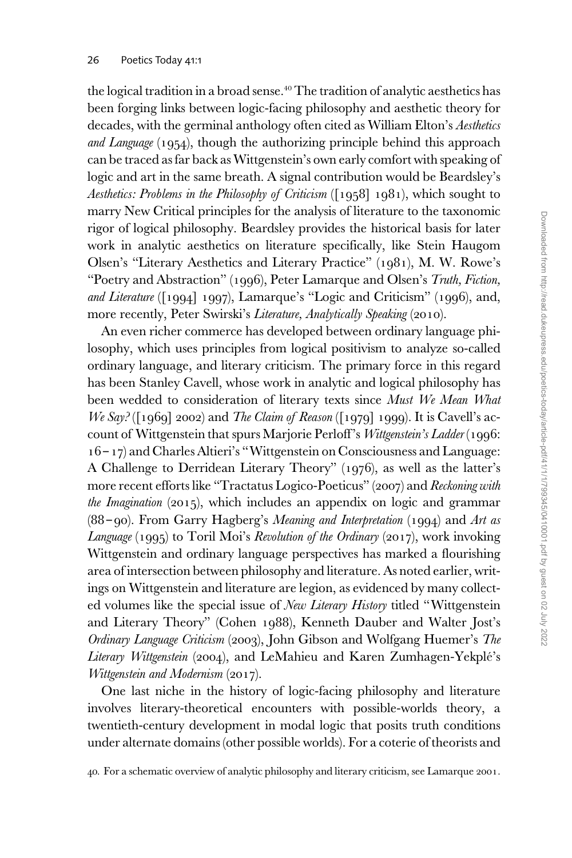the logical tradition in a broad sense.<sup>40</sup> The tradition of analytic aesthetics has been forging links between logic-facing philosophy and aesthetic theory for decades, with the germinal anthology often cited as William Elton's Aesthetics and Language (1954), though the authorizing principle behind this approach can be traced as far back as Wittgenstein's own early comfort with speaking of logic and art in the same breath. A signal contribution would be Beardsley's Aesthetics: Problems in the Philosophy of Criticism ([1958] 1981), which sought to marry New Critical principles for the analysis of literature to the taxonomic rigor of logical philosophy. Beardsley provides the historical basis for later work in analytic aesthetics on literature specifically, like Stein Haugom Olsen's "Literary Aesthetics and Literary Practice" (1981), M. W. Rowe's "Poetry and Abstraction" (1996), Peter Lamarque and Olsen's Truth, Fiction, and Literature ([1994] 1997), Lamarque's "Logic and Criticism" (1996), and, more recently, Peter Swirski's *Literature, Analytically Speaking* (2010).

An even richer commerce has developed between ordinary language philosophy, which uses principles from logical positivism to analyze so-called ordinary language, and literary criticism. The primary force in this regard has been Stanley Cavell, whose work in analytic and logical philosophy has been wedded to consideration of literary texts since Must We Mean What We Say? ( $[1969]$  2002) and The Claim of Reason ( $[1979]$  1999). It is Cavell's account of Wittgenstein that spurs Marjorie Perloff's Wittgenstein's Ladder (1996: 16 – 17) and Charles Altieri's "Wittgenstein on Consciousness and Language: A Challenge to Derridean Literary Theory" (1976), as well as the latter's more recent efforts like "Tractatus Logico-Poeticus" (2007) and Reckoning with the Imagination  $(2015)$ , which includes an appendix on logic and grammar (88 – 90). From Garry Hagberg's Meaning and Interpretation (1994) and Art as Language  $(1995)$  to Toril Moi's Revolution of the Ordinary  $(2017)$ , work invoking Wittgenstein and ordinary language perspectives has marked a flourishing area of intersection between philosophy and literature. As noted earlier, writings on Wittgenstein and literature are legion, as evidenced by many collected volumes like the special issue of New Literary History titled "Wittgenstein and Literary Theory" (Cohen 1988), Kenneth Dauber and Walter Jost's Ordinary Language Criticism (2003), John Gibson and Wolfgang Huemer's The Literary Wittgenstein (2004), and LeMahieu and Karen Zumhagen-Yekplé's Wittgenstein and Modernism (2017).

One last niche in the history of logic-facing philosophy and literature involves literary-theoretical encounters with possible-worlds theory, a twentieth-century development in modal logic that posits truth conditions under alternate domains (other possible worlds). For a coterie of theorists and

40. For a schematic overview of analytic philosophy and literary criticism, see Lamarque 2001.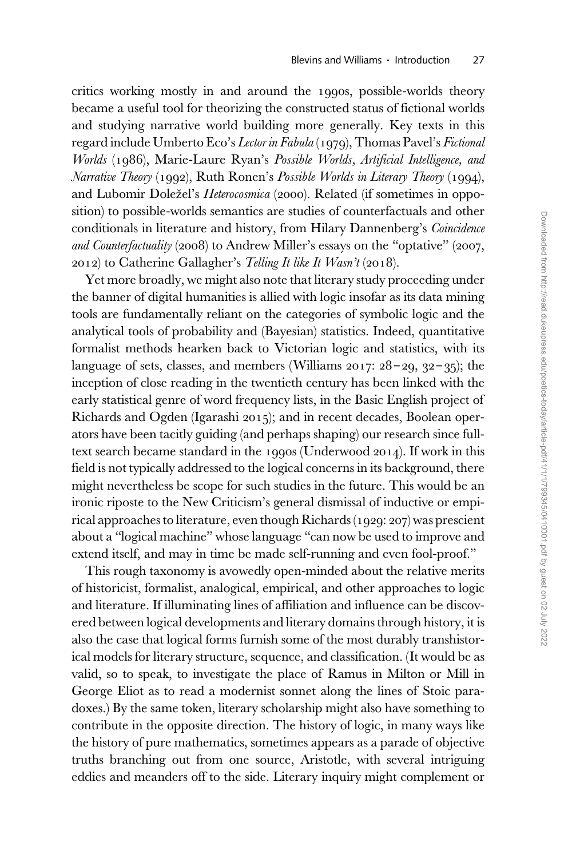critics working mostly in and around the 1990s, possible-worlds theory became a useful tool for theorizing the constructed status of fictional worlds and studying narrative world building more generally. Key texts in this regard include Umberto Eco's Lector in Fabula (1979), Thomas Pavel's Fictional Worlds (1986), Marie-Laure Ryan's Possible Worlds, Artificial Intelligence, and Narrative Theory (1992), Ruth Ronen's Possible Worlds in Literary Theory (1994), and Lubomir Doležel's Heterocosmica (2000). Related (if sometimes in opposition) to possible-worlds semantics are studies of counterfactuals and other conditionals in literature and history, from Hilary Dannenberg's Coincidence and Counterfactuality (2008) to Andrew Miller's essays on the "optative" (2007, 2012) to Catherine Gallagher's Telling It like It Wasn't (2018).

Yet more broadly, we might also note that literary study proceeding under the banner of digital humanities is allied with logic insofar as its data mining tools are fundamentally reliant on the categories of symbolic logic and the analytical tools of probability and (Bayesian) statistics. Indeed, quantitative formalist methods hearken back to Victorian logic and statistics, with its language of sets, classes, and members (Williams 2017: 28 – 29, 32 – 35); the inception of close reading in the twentieth century has been linked with the early statistical genre of word frequency lists, in the Basic English project of Richards and Ogden (Igarashi 2015); and in recent decades, Boolean operators have been tacitly guiding (and perhaps shaping) our research since fulltext search became standard in the 1990s (Underwood 2014). If work in this field is not typically addressed to the logical concerns in its background, there might nevertheless be scope for such studies in the future. This would be an ironic riposte to the New Criticism's general dismissal of inductive or empirical approaches to literature, even though Richards (1929: 207) was prescient about a "logical machine" whose language "can now be used to improve and extend itself, and may in time be made self-running and even fool-proof."

This rough taxonomy is avowedly open-minded about the relative merits of historicist, formalist, analogical, empirical, and other approaches to logic and literature. If illuminating lines of affiliation and influence can be discovered between logical developments and literary domains through history, it is also the case that logical forms furnish some of the most durably transhistorical models for literary structure, sequence, and classification. (It would be as valid, so to speak, to investigate the place of Ramus in Milton or Mill in George Eliot as to read a modernist sonnet along the lines of Stoic paradoxes.) By the same token, literary scholarship might also have something to contribute in the opposite direction. The history of logic, in many ways like the history of pure mathematics, sometimes appears as a parade of objective truths branching out from one source, Aristotle, with several intriguing eddies and meanders off to the side. Literary inquiry might complement or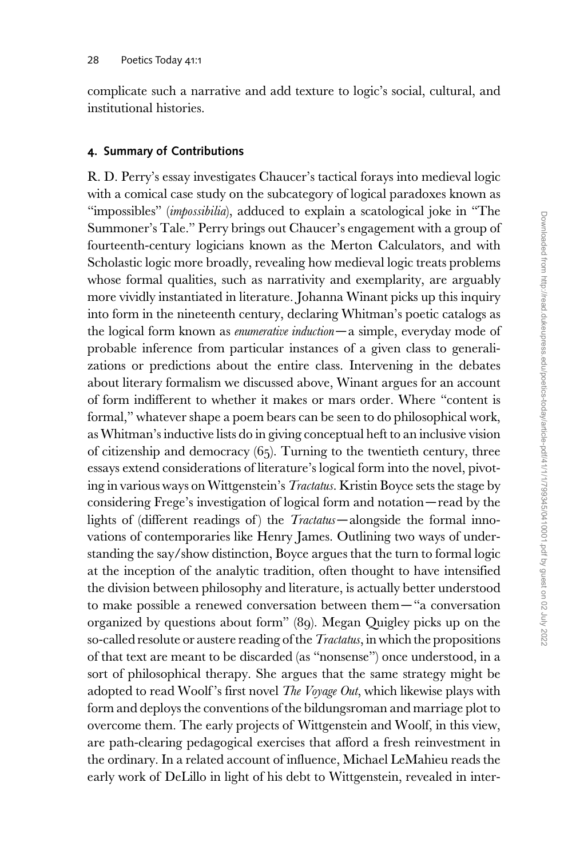complicate such a narrative and add texture to logic's social, cultural, and institutional histories.

# 4. Summary of Contributions

R. D. Perry's essay investigates Chaucer's tactical forays into medieval logic with a comical case study on the subcategory of logical paradoxes known as "impossibles" (*impossibilia*), adduced to explain a scatological joke in "The Summoner's Tale." Perry brings out Chaucer's engagement with a group of fourteenth-century logicians known as the Merton Calculators, and with Scholastic logic more broadly, revealing how medieval logic treats problems whose formal qualities, such as narrativity and exemplarity, are arguably more vividly instantiated in literature. Johanna Winant picks up this inquiry into form in the nineteenth century, declaring Whitman's poetic catalogs as the logical form known as enumerative induction—a simple, everyday mode of probable inference from particular instances of a given class to generalizations or predictions about the entire class. Intervening in the debates about literary formalism we discussed above, Winant argues for an account of form indifferent to whether it makes or mars order. Where "content is formal," whatever shape a poem bears can be seen to do philosophical work, as Whitman's inductive lists do in giving conceptual heft to an inclusive vision of citizenship and democracy  $(65)$ . Turning to the twentieth century, three essays extend considerations of literature's logical form into the novel, pivoting in various ways on Wittgenstein's Tractatus. Kristin Boyce sets the stage by considering Frege's investigation of logical form and notation—read by the lights of (different readings of) the *Tractatus*—alongside the formal innovations of contemporaries like Henry James. Outlining two ways of understanding the say/show distinction, Boyce argues that the turn to formal logic at the inception of the analytic tradition, often thought to have intensified the division between philosophy and literature, is actually better understood to make possible a renewed conversation between them— "a conversation organized by questions about form" (89). Megan Quigley picks up on the so-called resolute or austere reading of the *Tractatus*, in which the propositions of that text are meant to be discarded (as "nonsense") once understood, in a sort of philosophical therapy. She argues that the same strategy might be adopted to read Woolf's first novel The Voyage Out, which likewise plays with form and deploys the conventions of the bildungsroman and marriage plot to overcome them. The early projects of Wittgenstein and Woolf, in this view, are path-clearing pedagogical exercises that afford a fresh reinvestment in the ordinary. In a related account of influence, Michael LeMahieu reads the early work of DeLillo in light of his debt to Wittgenstein, revealed in inter-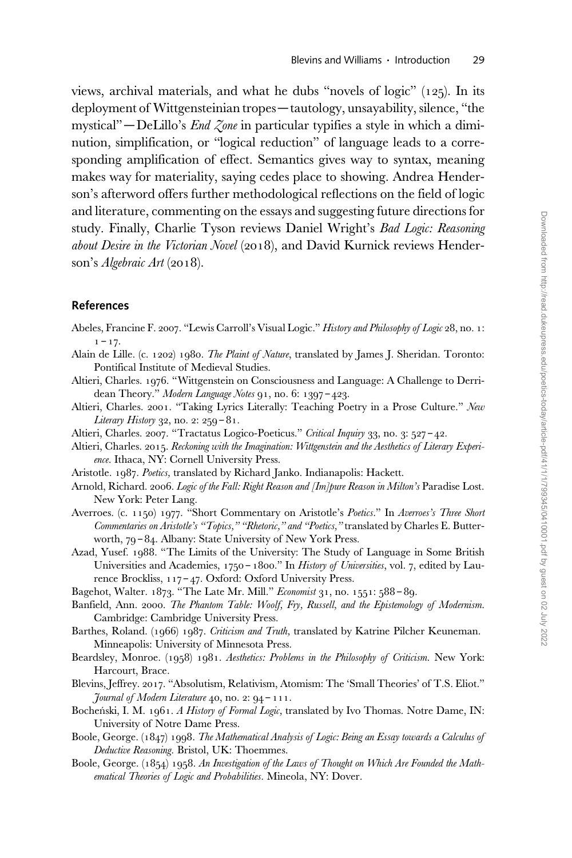views, archival materials, and what he dubs "novels of logic" (125). In its deployment of Wittgensteinian tropes—tautology, unsayability, silence, "the mystical" — DeLillo's *End Zone* in particular typifies a style in which a diminution, simplification, or "logical reduction" of language leads to a corresponding amplification of effect. Semantics gives way to syntax, meaning makes way for materiality, saying cedes place to showing. Andrea Henderson's afterword offers further methodological reflections on the field of logic and literature, commenting on the essays and suggesting future directions for study. Finally, Charlie Tyson reviews Daniel Wright's Bad Logic: Reasoning about Desire in the Victorian Novel (2018), and David Kurnick reviews Henderson's Algebraic Art (2018).

### References

- Abeles, Francine F. 2007. "Lewis Carroll's Visual Logic." History and Philosophy of Logic 28, no. 1:  $1 - 17.$
- Alain de Lille. (c. 1202) 1980. The Plaint of Nature, translated by James J. Sheridan. Toronto: Pontifical Institute of Medieval Studies.
- Altieri, Charles. 1976. "Wittgenstein on Consciousness and Language: A Challenge to Derridean Theory." Modern Language Notes 91, no. 6: 1397-423.
- Altieri, Charles. 2001. "Taking Lyrics Literally: Teaching Poetry in a Prose Culture." New Literary History 32, no. 2: 259 – 81.
- Altieri, Charles. 2007. "Tractatus Logico-Poeticus." Critical Inquiry 33, no. 3: 527-42.
- Altieri, Charles. 2015. Reckoning with the Imagination: Wittgenstein and the Aesthetics of Literary Experience. Ithaca, NY: Cornell University Press.
- Aristotle. 1987. Poetics, translated by Richard Janko. Indianapolis: Hackett.
- Arnold, Richard. 2006. Logic of the Fall: Right Reason and [Im]pure Reason in Milton's Paradise Lost. New York: Peter Lang.
- Averroes. (c. 1150) 1977. "Short Commentary on Aristotle's Poetics." In Averroes's Three Short Commentaries on Aristotle's "Topics," "Rhetoric," and "Poetics," translated by Charles E. Butterworth, 79 – 84. Albany: State University of New York Press.
- Azad, Yusef. 1988. "The Limits of the University: The Study of Language in Some British Universities and Academies, 1750 - 1800." In History of Universities, vol. 7, edited by Laurence Brockliss, 117 – 47. Oxford: Oxford University Press.

Bagehot, Walter. 1873. "The Late Mr. Mill." Economist 31, no. 1551: 588 – 89.

- Banfield, Ann. 2000. The Phantom Table: Woolf, Fry, Russell, and the Epistemology of Modernism. Cambridge: Cambridge University Press.
- Barthes, Roland. (1966) 1987. Criticism and Truth, translated by Katrine Pilcher Keuneman. Minneapolis: University of Minnesota Press.
- Beardsley, Monroe. (1958) 1981. Aesthetics: Problems in the Philosophy of Criticism. New York: Harcourt, Brace.
- Blevins, Jeffrey. 2017. "Absolutism, Relativism, Atomism: The 'Small Theories' of T.S. Eliot." Journal of Modern Literature 40, no. 2: 94 – 111.
- Bocheński, I. M. 1961. A History of Formal Logic, translated by Ivo Thomas. Notre Dame, IN: University of Notre Dame Press.
- Boole, George. (1847) 1998. The Mathematical Analysis of Logic: Being an Essay towards a Calculus of Deductive Reasoning. Bristol, UK: Thoemmes.
- Boole, George. (1854) 1958. An Investigation of the Laws of Thought on Which Are Founded the Mathematical Theories of Logic and Probabilities. Mineola, NY: Dover.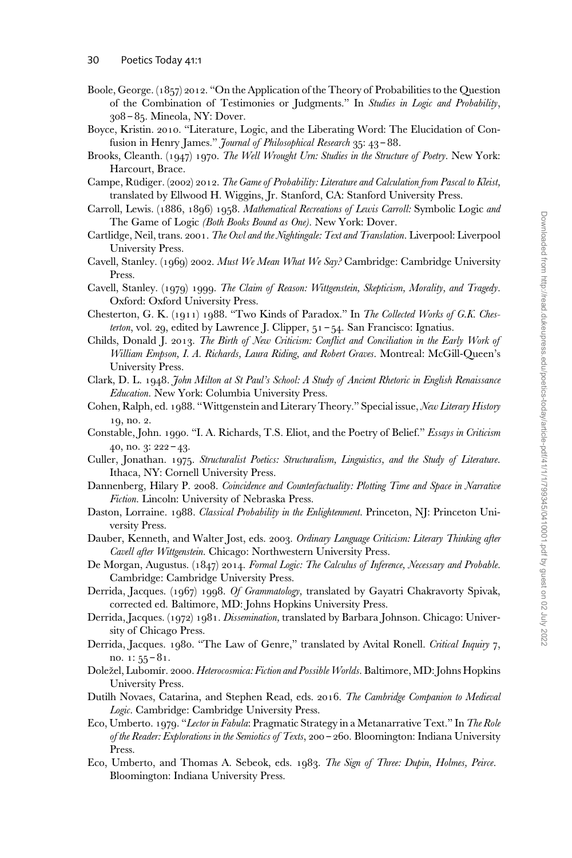- Boole, George. (1857) 2012. "On the Application of the Theory of Probabilities to the Question of the Combination of Testimonies or Judgments." In Studies in Logic and Probability, 308 – 85. Mineola, NY: Dover.
- Boyce, Kristin. 2010. "Literature, Logic, and the Liberating Word: The Elucidation of Confusion in Henry James." Journal of Philosophical Research 35: 43-88.
- Brooks, Cleanth. (1947) 1970. The Well Wrought Urn: Studies in the Structure of Poetry. New York: Harcourt, Brace.
- Campe, Rudiger. (2002) 2012. The Game of Probability: Literature and Calculation from Pascal to Kleist, translated by Ellwood H. Wiggins, Jr. Stanford, CA: Stanford University Press.
- Carroll, Lewis. (1886, 1896) 1958. Mathematical Recreations of Lewis Carroll: Symbolic Logic and The Game of Logic (Both Books Bound as One). New York: Dover.
- Cartlidge, Neil, trans. 2001. The Owl and the Nightingale: Text and Translation. Liverpool: Liverpool University Press.
- Cavell, Stanley. (1969) 2002. Must We Mean What We Say? Cambridge: Cambridge University Press.
- Cavell, Stanley. (1979) 1999. The Claim of Reason: Wittgenstein, Skepticism, Morality, and Tragedy. Oxford: Oxford University Press.
- Chesterton, G. K. (1911) 1988. "Two Kinds of Paradox." In The Collected Works of G.K. Chesterton, vol. 29, edited by Lawrence J. Clipper,  $51 - 54$ . San Francisco: Ignatius.
- Childs, Donald J. 2013. The Birth of New Criticism: Conflict and Conciliation in the Early Work of William Empson, I. A. Richards, Laura Riding, and Robert Graves. Montreal: McGill-Queen's University Press.
- Clark, D. L. 1948. John Milton at St Paul's School: A Study of Ancient Rhetoric in English Renaissance Education. New York: Columbia University Press.
- Cohen, Ralph, ed. 1988. "Wittgenstein and Literary Theory." Special issue, New Literary History 19, no. 2.
- Constable, John. 1990. "I. A. Richards, T.S. Eliot, and the Poetry of Belief." Essays in Criticism 40, no. 3: 222 – 43.
- Culler, Jonathan. 1975. Structuralist Poetics: Structuralism, Linguistics, and the Study of Literature. Ithaca, NY: Cornell University Press.
- Dannenberg, Hilary P. 2008. Coincidence and Counterfactuality: Plotting Time and Space in Narrative Fiction. Lincoln: University of Nebraska Press.
- Daston, Lorraine. 1988. Classical Probability in the Enlightenment. Princeton, NJ: Princeton University Press.
- Dauber, Kenneth, and Walter Jost, eds. 2003. Ordinary Language Criticism: Literary Thinking after Cavell after Wittgenstein. Chicago: Northwestern University Press.
- De Morgan, Augustus. (1847) 2014. Formal Logic: The Calculus of Inference, Necessary and Probable. Cambridge: Cambridge University Press.
- Derrida, Jacques. (1967) 1998. Of Grammatology, translated by Gayatri Chakravorty Spivak, corrected ed. Baltimore, MD: Johns Hopkins University Press.
- Derrida, Jacques. (1972) 1981. Dissemination, translated by Barbara Johnson. Chicago: University of Chicago Press.
- Derrida, Jacques. 1980. "The Law of Genre," translated by Avital Ronell. Critical Inquiry 7, no.  $1: 55 - 81$ .
- Doležel, Lubomír. 2000. Heterocosmica: Fiction and Possible Worlds. Baltimore, MD: Johns Hopkins University Press.
- Dutilh Novaes, Catarina, and Stephen Read, eds. 2016. The Cambridge Companion to Medieval Logic. Cambridge: Cambridge University Press.
- Eco, Umberto. 1979. "Lector in Fabula: Pragmatic Strategy in a Metanarrative Text." In The Role of the Reader: Explorations in the Semiotics of Texts, 200 – 260. Bloomington: Indiana University Press.
- Eco, Umberto, and Thomas A. Sebeok, eds. 1983. The Sign of Three: Dupin, Holmes, Peirce. Bloomington: Indiana University Press.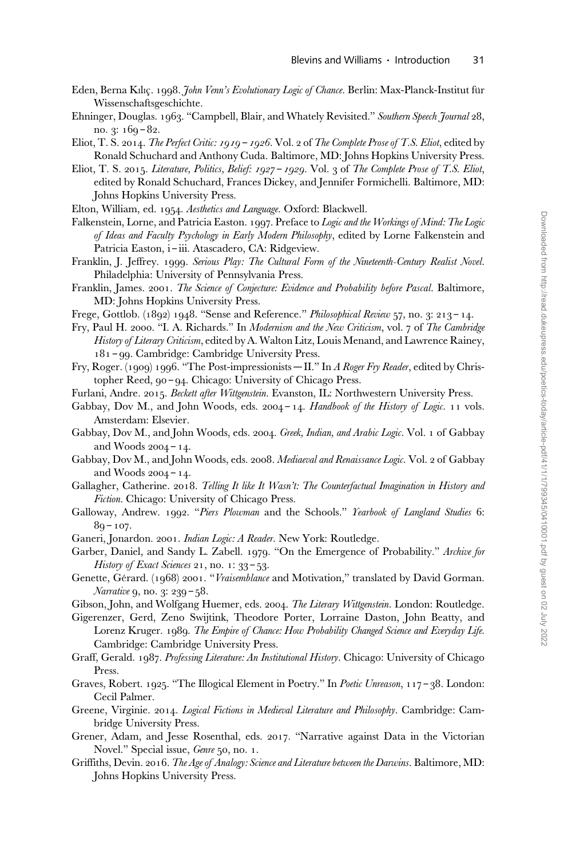- Eden, Berna Kılıç. 1998. John Venn's Evolutionary Logic of Chance. Berlin: Max-Planck-Institut für Wissenschaftsgeschichte.
- Ehninger, Douglas. 1963. "Campbell, Blair, and Whately Revisited." Southern Speech Journal 28, no. 3: 169 – 82.
- Eliot, T. S. 2014. The Perfect Critic: 1919 1926. Vol. 2 of The Complete Prose of T.S. Eliot, edited by Ronald Schuchard and Anthony Cuda. Baltimore, MD: Johns Hopkins University Press.
- Eliot, T. S. 2015. Literature, Politics, Belief: 1927 1929. Vol. 3 of The Complete Prose of T.S. Eliot, edited by Ronald Schuchard, Frances Dickey, and Jennifer Formichelli. Baltimore, MD: Johns Hopkins University Press.
- Elton, William, ed. 1954. Aesthetics and Language. Oxford: Blackwell.
- Falkenstein, Lorne, and Patricia Easton. 1997. Preface to Logic and the Workings of Mind: The Logic of Ideas and Faculty Psychology in Early Modern Philosophy, edited by Lorne Falkenstein and Patricia Easton, i – iii. Atascadero, CA: Ridgeview.
- Franklin, J. Jeffrey. 1999. Serious Play: The Cultural Form of the Nineteenth-Century Realist Novel. Philadelphia: University of Pennsylvania Press.
- Franklin, James. 2001. The Science of Conjecture: Evidence and Probability before Pascal. Baltimore, MD: Johns Hopkins University Press.
- Frege, Gottlob. (1892) 1948. "Sense and Reference." Philosophical Review 57, no. 3: 213 14.
- Fry, Paul H. 2000. "I. A. Richards." In Modernism and the New Criticism, vol. 7 of The Cambridge History of Literary Criticism, edited by A. Walton Litz, Louis Menand, and Lawrence Rainey, 181 – 99. Cambridge: Cambridge University Press.
- Fry, Roger. (1909) 1996. "The Post-impressionists II." In A Roger Fry Reader, edited by Christopher Reed, 90 – 94. Chicago: University of Chicago Press.
- Furlani, Andre. 2015. Beckett after Wittgenstein. Evanston, IL: Northwestern University Press.
- Gabbay, Dov M., and John Woods, eds.  $2004 14$ . Handbook of the History of Logic. 11 vols. Amsterdam: Elsevier.
- Gabbay, Dov M., and John Woods, eds. 2004. Greek, Indian, and Arabic Logic. Vol. 1 of Gabbay and Woods 2004 – 14.
- Gabbay, Dov M., and John Woods, eds. 2008. Mediaeval and Renaissance Logic. Vol. 2 of Gabbay and Woods 2004 – 14.
- Gallagher, Catherine. 2018. Telling It like It Wasn't: The Counterfactual Imagination in History and Fiction. Chicago: University of Chicago Press.
- Galloway, Andrew. 1992. "Piers Plowman and the Schools." Yearbook of Langland Studies 6:  $89 - 107$ .
- Ganeri, Jonardon. 2001. Indian Logic: A Reader. New York: Routledge.
- Garber, Daniel, and Sandy L. Zabell. 1979. "On the Emergence of Probability." Archive for History of Exact Sciences 21, no. 1:  $33 - 53$ .
- Genette, Gérard. (1968) 2001. "Vraisemblance and Motivation," translated by David Gorman. Narrative 9, no. 3: 239 - 58.
- Gibson, John, and Wolfgang Huemer, eds. 2004. The Literary Wittgenstein. London: Routledge.
- Gigerenzer, Gerd, Zeno Swijtink, Theodore Porter, Lorraine Daston, John Beatty, and Lorenz Kruger. 1989. The Empire of Chance: How Probability Changed Science and Everyday Life. Cambridge: Cambridge University Press.
- Graff, Gerald. 1987. Professing Literature: An Institutional History. Chicago: University of Chicago Press.
- Graves, Robert. 1925. "The Illogical Element in Poetry." In Poetic Unreason, 117 38. London: Cecil Palmer.
- Greene, Virginie. 2014. Logical Fictions in Medieval Literature and Philosophy. Cambridge: Cambridge University Press.
- Grener, Adam, and Jesse Rosenthal, eds. 2017. "Narrative against Data in the Victorian Novel." Special issue, Genre 50, no. 1.
- Griffiths, Devin. 2016. The Age of Analogy: Science and Literature between the Darwins. Baltimore, MD: Johns Hopkins University Press.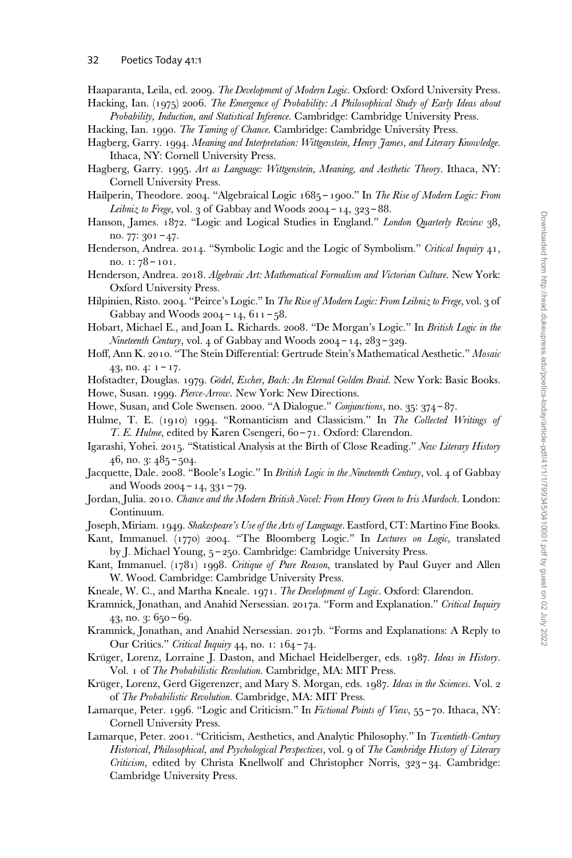Haaparanta, Leila, ed. 2009. The Development of Modern Logic. Oxford: Oxford University Press.

Hacking, Ian. (1975) 2006. The Emergence of Probability: A Philosophical Study of Early Ideas about Probability, Induction, and Statistical Inference. Cambridge: Cambridge University Press.

Hacking, Ian. 1990. The Taming of Chance. Cambridge: Cambridge University Press.

- Hagberg, Garry. 1994. Meaning and Interpretation: Wittgenstein, Henry James, and Literary Knowledge. Ithaca, NY: Cornell University Press.
- Hagberg, Garry. 1995. Art as Language: Wittgenstein, Meaning, and Aesthetic Theory. Ithaca, NY: Cornell University Press.
- Hailperin, Theodore. 2004. "Algebraical Logic 1685 1900." In The Rise of Modern Logic: From Leibniz to Frege, vol. 3 of Gabbay and Woods  $2004 - 14$ ,  $323 - 88$ .
- Hanson, James. 1872. "Logic and Logical Studies in England." London Quarterly Review 38, no. 77: 301 – 47.
- Henderson, Andrea. 2014. "Symbolic Logic and the Logic of Symbolism." Critical Inquiry 41, no. 1: 78 – 101.
- Henderson, Andrea. 2018. Algebraic Art: Mathematical Formalism and Victorian Culture. New York: Oxford University Press.
- Hilpinien, Risto. 2004. "Peirce's Logic." In The Rise of Modern Logic: From Leibniz to Frege, vol. 3 of Gabbay and Woods  $2004 - 14$ ,  $611 - 58$ .
- Hobart, Michael E., and Joan L. Richards. 2008. "De Morgan's Logic." In British Logic in the Nineteenth Century, vol. 4 of Gabbay and Woods 2004 – 14, 283 – 329.
- Hoff, Ann K. 2010. "The Stein Differential: Gertrude Stein's Mathematical Aesthetic." Mosaic 43, no. 4:  $1 - 17$ .
- Hofstadter, Douglas. 1979. Gödel, Escher, Bach: An Eternal Golden Braid. New York: Basic Books. Howe, Susan. 1999. Pierce-Arrow. New York: New Directions.
- Howe, Susan, and Cole Swensen. 2000. "A Dialogue." Conjunctions, no. 35: 374 87.
- Hulme, T. E. (1910) 1994. "Romanticism and Classicism." In The Collected Writings of T. E. Hulme, edited by Karen Csengeri, 60 – 71. Oxford: Clarendon.
- Igarashi, Yohei. 2015. "Statistical Analysis at the Birth of Close Reading." New Literary History 46, no. 3: 485 – 504.
- Jacquette, Dale. 2008. "Boole's Logic." In British Logic in the Nineteenth Century, vol. 4 of Gabbay and Woods 2004 – 14, 331 – 79.
- Jordan, Julia. 2010. Chance and the Modern British Novel: From Henry Green to Iris Murdoch. London: Continuum.
- Joseph, Miriam. 1949. Shakespeare's Use of the Arts of Language. Eastford, CT: Martino Fine Books.
- Kant, Immanuel. (1770) 2004. "The Bloomberg Logic." In Lectures on Logic, translated by J. Michael Young, 5 – 250. Cambridge: Cambridge University Press.
- Kant, Immanuel. (1781) 1998. Critique of Pure Reason, translated by Paul Guyer and Allen W. Wood. Cambridge: Cambridge University Press.
- Kneale, W. C., and Martha Kneale. 1971. The Development of Logic. Oxford: Clarendon.
- Kramnick, Jonathan, and Anahid Nersessian. 2017a. "Form and Explanation." Critical Inquiry 43, no. 3: 650 – 69.
- Kramnick, Jonathan, and Anahid Nersessian. 2017b. "Forms and Explanations: A Reply to Our Critics." Critical Inquiry 44, no. 1: 164 – 74.
- Krüger, Lorenz, Lorraine J. Daston, and Michael Heidelberger, eds. 1987. Ideas in History. Vol. 1 of The Probabilistic Revolution. Cambridge, MA: MIT Press.
- Krüger, Lorenz, Gerd Gigerenzer, and Mary S. Morgan, eds. 1987. Ideas in the Sciences. Vol. 2 of The Probabilistic Revolution. Cambridge, MA: MIT Press.
- Lamarque, Peter. 1996. "Logic and Criticism." In Fictional Points of View, 55-70. Ithaca, NY: Cornell University Press.
- Lamarque, Peter. 2001. "Criticism, Aesthetics, and Analytic Philosophy." In Twentieth-Century Historical, Philosophical, and Psychological Perspectives, vol. 9 of The Cambridge History of Literary Criticism, edited by Christa Knellwolf and Christopher Norris, 323-34. Cambridge: Cambridge University Press.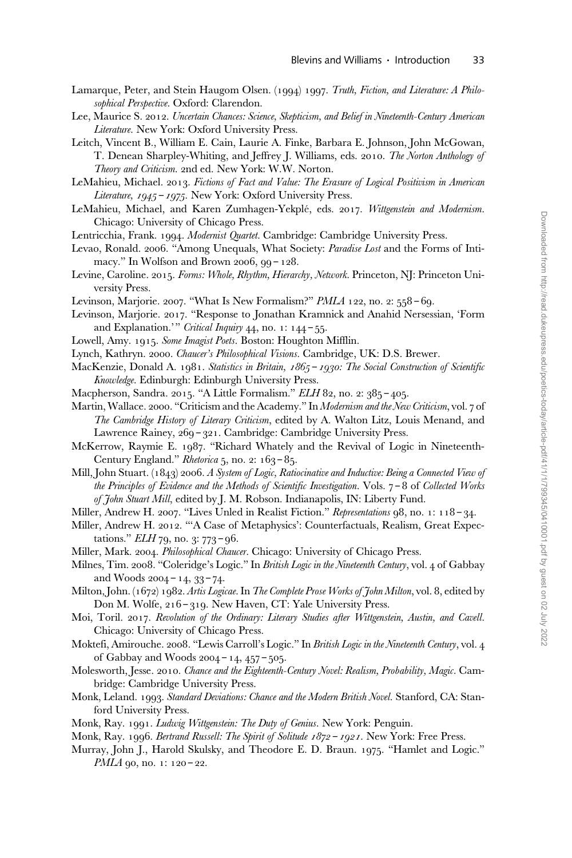- Lamarque, Peter, and Stein Haugom Olsen. (1994) 1997. Truth, Fiction, and Literature: A Philosophical Perspective. Oxford: Clarendon.
- Lee, Maurice S. 2012. Uncertain Chances: Science, Skepticism, and Belief in Nineteenth-Century American Literature. New York: Oxford University Press.
- Leitch, Vincent B., William E. Cain, Laurie A. Finke, Barbara E. Johnson, John McGowan, T. Denean Sharpley-Whiting, and Jeffrey J. Williams, eds. 2010. The Norton Anthology of Theory and Criticism. 2nd ed. New York: W.W. Norton.
- LeMahieu, Michael. 2013. Fictions of Fact and Value: The Erasure of Logical Positivism in American Literature, 1945 – 1975. New York: Oxford University Press.
- LeMahieu, Michael, and Karen Zumhagen-Yekplé, eds. 2017. Wittgenstein and Modernism. Chicago: University of Chicago Press.
- Lentricchia, Frank. 1994. Modernist Quartet. Cambridge: Cambridge University Press.
- Levao, Ronald. 2006. "Among Unequals, What Society: *Paradise Lost* and the Forms of Intimacy." In Wolfson and Brown 2006, 99 – 128.
- Levine, Caroline. 2015. Forms: Whole, Rhythm, Hierarchy, Network. Princeton, NJ: Princeton University Press.
- Levinson, Marjorie. 2007. "What Is New Formalism?" PMLA 122, no. 2: 558 69.
- Levinson, Marjorie. 2017. "Response to Jonathan Kramnick and Anahid Nersessian, 'Form and Explanation.'" Critical Inquiry 44, no. 1:  $144 - 55$ .
- Lowell, Amy. 1915. Some Imagist Poets. Boston: Houghton Mifflin.
- Lynch, Kathryn. 2000. Chaucer's Philosophical Visions. Cambridge, UK: D.S. Brewer.
- MacKenzie, Donald A. 1981. Statistics in Britain, 1865 1930: The Social Construction of Scientific Knowledge. Edinburgh: Edinburgh University Press.
- Macpherson, Sandra. 2015. "A Little Formalism." ELH 82, no. 2: 385 405.
- Martin, Wallace. 2000. "Criticism and the Academy." In Modernism and the New Criticism, vol. 7 of The Cambridge History of Literary Criticism, edited by A. Walton Litz, Louis Menand, and Lawrence Rainey, 269 – 321. Cambridge: Cambridge University Press.
- McKerrow, Raymie E. 1987. "Richard Whately and the Revival of Logic in Nineteenth-Century England." Rhetorica  $5$ , no. 2:  $163 - 85$ .
- Mill, John Stuart. (1843) 2006. A System of Logic, Ratiocinative and Inductive: Being a Connected View of the Principles of Evidence and the Methods of Scientific Investigation. Vols. 7 – 8 of Collected Works of John Stuart Mill, edited by J. M. Robson. Indianapolis, IN: Liberty Fund.
- Miller, Andrew H. 2007. "Lives Unled in Realist Fiction." Representations 98, no. 1: 118 34.
- Miller, Andrew H. 2012. "'A Case of Metaphysics': Counterfactuals, Realism, Great Expectations." ELH 79, no. 3: 773 – 96.
- Miller, Mark. 2004. Philosophical Chaucer. Chicago: University of Chicago Press.
- Milnes, Tim. 2008. "Coleridge's Logic." In British Logic in the Nineteenth Century, vol. 4 of Gabbay and Woods 2004 – 14, 33 – 74.
- Milton, John. (1672) 1982. Artis Logicae. In The Complete Prose Works of John Milton, vol. 8, edited by Don M. Wolfe, 216 – 319. New Haven, CT: Yale University Press.
- Moi, Toril. 2017. Revolution of the Ordinary: Literary Studies after Wittgenstein, Austin, and Cavell. Chicago: University of Chicago Press.
- Moktefi, Amirouche. 2008. "Lewis Carroll's Logic." In British Logic in the Nineteenth Century, vol. 4 of Gabbay and Woods 2004 – 14, 457 – 505.
- Molesworth, Jesse. 2010. Chance and the Eighteenth-Century Novel: Realism, Probability, Magic. Cambridge: Cambridge University Press.
- Monk, Leland. 1993. Standard Deviations: Chance and the Modern British Novel. Stanford, CA: Stanford University Press.
- Monk, Ray. 1991. Ludwig Wittgenstein: The Duty of Genius. New York: Penguin.
- Monk, Ray. 1996. Bertrand Russell: The Spirit of Solitude 1872 1921. New York: Free Press.
- Murray, John J., Harold Skulsky, and Theodore E. D. Braun. 1975. "Hamlet and Logic." PMLA 90, no. 1: 120 - 22.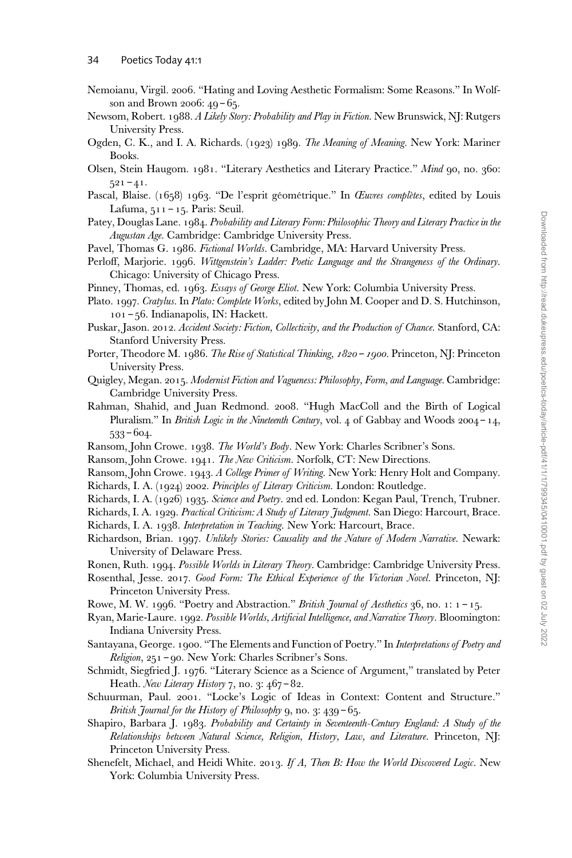- Nemoianu, Virgil. 2006. "Hating and Loving Aesthetic Formalism: Some Reasons." In Wolfson and Brown 2006: 49 – 65.
- Newsom, Robert. 1988. A Likely Story: Probability and Play in Fiction. New Brunswick, NJ: Rutgers University Press.
- Ogden, C. K., and I. A. Richards. (1923) 1989. The Meaning of Meaning. New York: Mariner Books.
- Olsen, Stein Haugom. 1981. "Literary Aesthetics and Literary Practice." Mind 90, no. 360:  $521 - 41.$
- Pascal, Blaise. (1658) 1963. "De l'esprit géométrique." In Œuvres complètes, edited by Louis Lafuma, 511 – 15. Paris: Seuil.
- Patey, Douglas Lane. 1984. Probability and Literary Form: Philosophic Theory and Literary Practice in the Augustan Age. Cambridge: Cambridge University Press.
- Pavel, Thomas G. 1986. Fictional Worlds. Cambridge, MA: Harvard University Press.
- Perloff, Marjorie. 1996. Wittgenstein's Ladder: Poetic Language and the Strangeness of the Ordinary. Chicago: University of Chicago Press.
- Pinney, Thomas, ed. 1963. Essays of George Eliot. New York: Columbia University Press.
- Plato. 1997. Cratylus. In Plato: Complete Works, edited by John M. Cooper and D. S. Hutchinson, 101 – 56. Indianapolis, IN: Hackett.
- Puskar, Jason. 2012. Accident Society: Fiction, Collectivity, and the Production of Chance. Stanford, CA: Stanford University Press.
- Porter, Theodore M. 1986. The Rise of Statistical Thinking, 1820 1900. Princeton, NJ: Princeton University Press.
- Quigley, Megan. 2015. Modernist Fiction and Vagueness: Philosophy, Form, and Language. Cambridge: Cambridge University Press.
- Rahman, Shahid, and Juan Redmond. 2008. "Hugh MacColl and the Birth of Logical Pluralism." In British Logic in the Nineteenth Century, vol. 4 of Gabbay and Woods  $2004 - 14$ , 533 – 604.
- Ransom, John Crowe. 1938. The World's Body. New York: Charles Scribner's Sons.
- Ransom, John Crowe. 1941. The New Criticism. Norfolk, CT: New Directions.
- Ransom, John Crowe. 1943. A College Primer of Writing. New York: Henry Holt and Company.
- Richards, I. A. (1924) 2002. Principles of Literary Criticism. London: Routledge.
- Richards, I. A. (1926) 1935. Science and Poetry. 2nd ed. London: Kegan Paul, Trench, Trubner.
- Richards, I. A. 1929. Practical Criticism: A Study of Literary Judgment. San Diego: Harcourt, Brace.
- Richards, I. A. 1938. Interpretation in Teaching. New York: Harcourt, Brace.
- Richardson, Brian. 1997. Unlikely Stories: Causality and the Nature of Modern Narrative. Newark: University of Delaware Press.
- Ronen, Ruth. 1994. Possible Worlds in Literary Theory. Cambridge: Cambridge University Press.
- Rosenthal, Jesse. 2017. Good Form: The Ethical Experience of the Victorian Novel. Princeton, NJ: Princeton University Press.
- Rowe, M. W. 1996. "Poetry and Abstraction." British Journal of Aesthetics 36, no. 1:  $1 15$ .
- Ryan, Marie-Laure. 1992. Possible Worlds, Artificial Intelligence, and Narrative Theory. Bloomington: Indiana University Press.
- Santayana, George. 1900. "The Elements and Function of Poetry." In Interpretations of Poetry and Religion, 251 – 90. New York: Charles Scribner's Sons.
- Schmidt, Siegfried J. 1976. "Literary Science as a Science of Argument," translated by Peter Heath. New Literary History 7, no. 3: 467-82.
- Schuurman, Paul. 2001. "Locke's Logic of Ideas in Context: Content and Structure." British Journal for the History of Philosophy  $9, no. 3: 439 - 65.$
- Shapiro, Barbara J. 1983. Probability and Certainty in Seventeenth-Century England: A Study of the Relationships between Natural Science, Religion, History, Law, and Literature. Princeton, NJ: Princeton University Press.
- Shenefelt, Michael, and Heidi White. 2013. If A, Then B: How the World Discovered Logic. New York: Columbia University Press.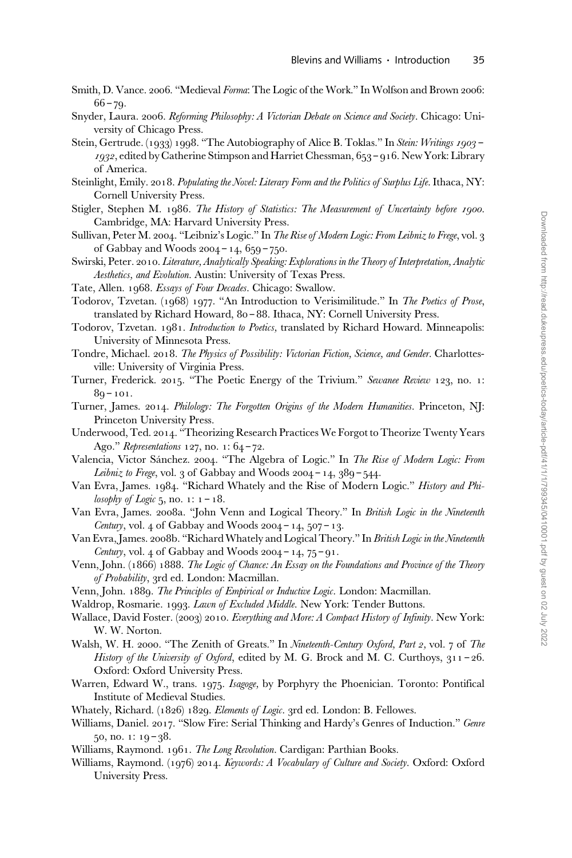- Smith, D. Vance. 2006. "Medieval Forma: The Logic of the Work." In Wolfson and Brown 2006:  $66 - 79.$
- Snyder, Laura. 2006. Reforming Philosophy: A Victorian Debate on Science and Society. Chicago: University of Chicago Press.
- Stein, Gertrude. (1933) 1998. "The Autobiography of Alice B. Toklas." In Stein: Writings 1903 -1932, edited by Catherine Stimpson and Harriet Chessman, 653 – 916. New York: Library of America.
- Steinlight, Emily. 2018. Populating the Novel: Literary Form and the Politics of Surplus Life. Ithaca, NY: Cornell University Press.
- Stigler, Stephen M. 1986. The History of Statistics: The Measurement of Uncertainty before 1900. Cambridge, MA: Harvard University Press.
- Sullivan, Peter M. 2004. "Leibniz's Logic." In The Rise of Modern Logic: From Leibniz to Frege, vol. 3 of Gabbay and Woods 2004 – 14, 659 – 750.
- Swirski, Peter. 2010. Literature, Analytically Speaking: Explorations in the Theory of Interpretation, Analytic Aesthetics, and Evolution. Austin: University of Texas Press.
- Tate, Allen. 1968. Essays of Four Decades. Chicago: Swallow.
- Todorov, Tzvetan. (1968) 1977. "An Introduction to Verisimilitude." In The Poetics of Prose, translated by Richard Howard, 80 – 88. Ithaca, NY: Cornell University Press.
- Todorov, Tzvetan. 1981. Introduction to Poetics, translated by Richard Howard. Minneapolis: University of Minnesota Press.
- Tondre, Michael. 2018. The Physics of Possibility: Victorian Fiction, Science, and Gender. Charlottesville: University of Virginia Press.
- Turner, Frederick. 2015. "The Poetic Energy of the Trivium." Sewanee Review 123, no. 1:  $89 - 101.$
- Turner, James. 2014. Philology: The Forgotten Origins of the Modern Humanities. Princeton, NJ: Princeton University Press.
- Underwood, Ted. 2014. "Theorizing Research Practices We Forgot to Theorize Twenty Years Ago." Representations 127, no. 1: 64-72.
- Valencia, Victor Sánchez. 2004. "The Algebra of Logic." In The Rise of Modern Logic: From Leibniz to Frege, vol. 3 of Gabbay and Woods  $2004 - 14$ ,  $389 - 544$ .
- Van Evra, James. 1984. "Richard Whately and the Rise of Modern Logic." History and Philosophy of Logic 5, no. 1:  $1 - 18$ .
- Van Evra, James. 2008a. "John Venn and Logical Theory." In British Logic in the Nineteenth Century, vol. 4 of Gabbay and Woods  $2004 - 14$ ,  $507 - 13$ .
- Van Evra, James. 2008b. "Richard Whately and Logical Theory." In British Logic in the Nineteenth Century, vol. 4 of Gabbay and Woods  $2004 - 14$ ,  $75 - 91$ .
- Venn, John. (1866) 1888. The Logic of Chance: An Essay on the Foundations and Province of the Theory of Probability, 3rd ed. London: Macmillan.
- Venn, John. 1889. The Principles of Empirical or Inductive Logic. London: Macmillan.
- Waldrop, Rosmarie. 1993. Lawn of Excluded Middle. New York: Tender Buttons.
- Wallace, David Foster. (2003) 2010. Everything and More: A Compact History of Infinity. New York: W. W. Norton.
- Walsh, W. H. 2000. "The Zenith of Greats." In Nineteenth-Century Oxford, Part 2, vol. 7 of The History of the University of Oxford, edited by M. G. Brock and M. C. Curthoys, 311-26. Oxford: Oxford University Press.
- Warren, Edward W., trans. 1975. Isagoge, by Porphyry the Phoenician. Toronto: Pontifical Institute of Medieval Studies.
- Whately, Richard. (1826) 1829. Elements of Logic. 3rd ed. London: B. Fellowes.
- Williams, Daniel. 2017. "Slow Fire: Serial Thinking and Hardy's Genres of Induction." Genre  $50, no. 1: 19 - 38.$
- Williams, Raymond. 1961. The Long Revolution. Cardigan: Parthian Books.
- Williams, Raymond. (1976) 2014. Keywords: A Vocabulary of Culture and Society. Oxford: Oxford University Press.